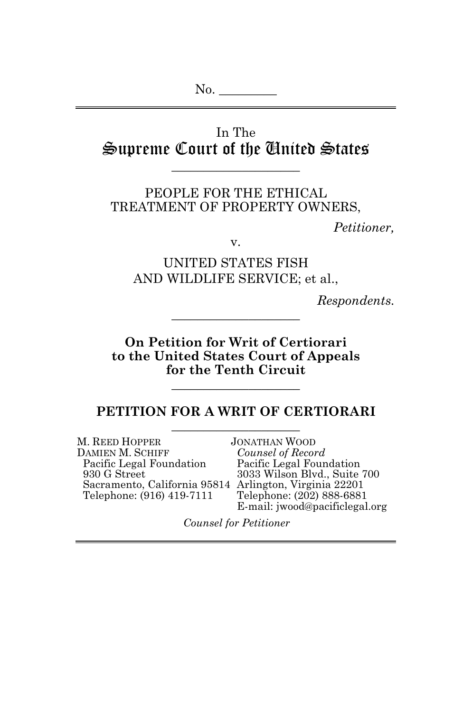# In The Supreme Court of the United States

\_\_\_\_\_\_\_\_\_\_\_\_\_\_\_\_\_\_\_\_

PEOPLE FOR THE ETHICAL TREATMENT OF PROPERTY OWNERS,

*Petitioner,*

v.

UNITED STATES FISH AND WILDLIFE SERVICE; et al.,

*Respondents.*

**On Petition for Writ of Certiorari to the United States Court of Appeals for the Tenth Circuit**

\_\_\_\_\_\_\_\_\_\_\_\_\_\_\_\_\_\_\_\_

\_\_\_\_\_\_\_\_\_\_\_\_\_\_\_\_\_\_\_\_

#### **PETITION FOR A WRIT OF CERTIORARI** \_\_\_\_\_\_\_\_\_\_\_\_\_\_\_\_\_\_\_\_

M. REED HOPPER JONATHAN WOOD<br>DAMIEN M. SCHIFF Counsel of Recor DAMIEN M. SCHIFF *Counsel of Record* Pacific Legal Foundation Blvd., Suite 700 Sacramento, California 95814 Arlington, Virginia 22201<br>Telephone: (916) 419-7111 Telephone: (202) 888-6881 Telephone: (916) 419-7111

E-mail: jwood@pacificlegal.org

*Counsel for Petitioner*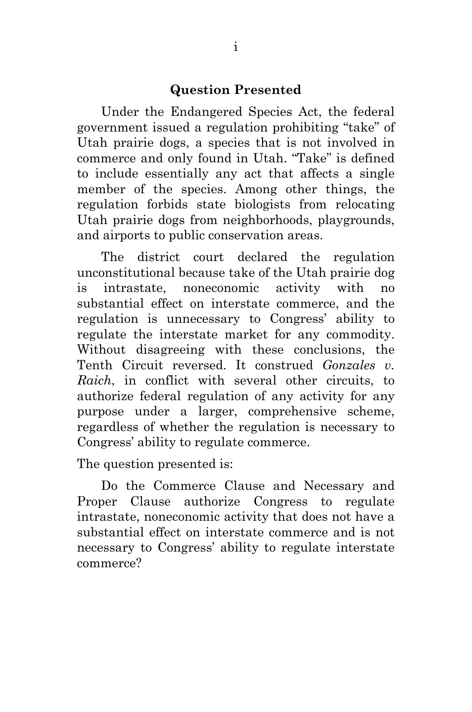#### **Question Presented**

Under the Endangered Species Act, the federal government issued a regulation prohibiting "take" of Utah prairie dogs, a species that is not involved in commerce and only found in Utah. "Take" is defined to include essentially any act that affects a single member of the species. Among other things, the regulation forbids state biologists from relocating Utah prairie dogs from neighborhoods, playgrounds, and airports to public conservation areas.

The district court declared the regulation unconstitutional because take of the Utah prairie dog is intrastate, noneconomic activity with no substantial effect on interstate commerce, and the regulation is unnecessary to Congress' ability to regulate the interstate market for any commodity. Without disagreeing with these conclusions, the Tenth Circuit reversed. It construed *Gonzales v. Raich*, in conflict with several other circuits, to authorize federal regulation of any activity for any purpose under a larger, comprehensive scheme, regardless of whether the regulation is necessary to Congress' ability to regulate commerce.

The question presented is:

Do the Commerce Clause and Necessary and Proper Clause authorize Congress to regulate intrastate, noneconomic activity that does not have a substantial effect on interstate commerce and is not necessary to Congress' ability to regulate interstate commerce?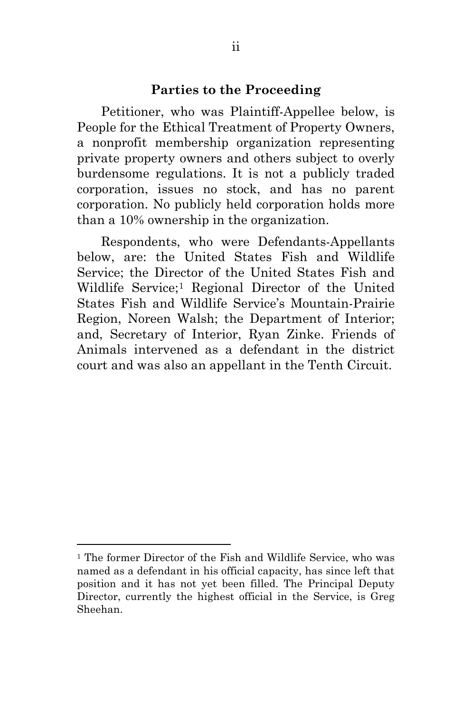#### **Parties to the Proceeding**

Petitioner, who was Plaintiff-Appellee below, is People for the Ethical Treatment of Property Owners, a nonprofit membership organization representing private property owners and others subject to overly burdensome regulations. It is not a publicly traded corporation, issues no stock, and has no parent corporation. No publicly held corporation holds more than a 10% ownership in the organization.

Respondents, who were Defendants-Appellants below, are: the United States Fish and Wildlife Service; the Director of the United States Fish and Wildlife Service;<sup>[1](#page-2-0)</sup> Regional Director of the United States Fish and Wildlife Service's Mountain-Prairie Region, Noreen Walsh; the Department of Interior; and, Secretary of Interior, Ryan Zinke. Friends of Animals intervened as a defendant in the district court and was also an appellant in the Tenth Circuit.

<span id="page-2-0"></span><sup>1</sup> The former Director of the Fish and Wildlife Service, who was named as a defendant in his official capacity, has since left that position and it has not yet been filled. The Principal Deputy Director, currently the highest official in the Service, is Greg Sheehan.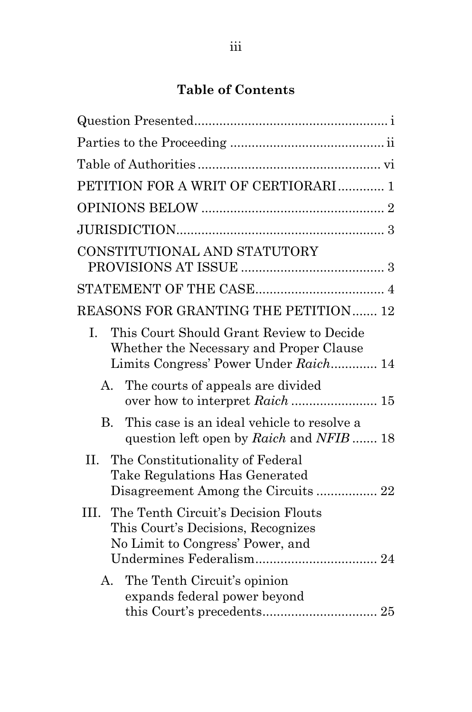# **Table of Contents**

| PETITION FOR A WRIT OF CERTIORARI 1                                                                                                |  |  |  |  |  |
|------------------------------------------------------------------------------------------------------------------------------------|--|--|--|--|--|
|                                                                                                                                    |  |  |  |  |  |
|                                                                                                                                    |  |  |  |  |  |
| CONSTITUTIONAL AND STATUTORY                                                                                                       |  |  |  |  |  |
|                                                                                                                                    |  |  |  |  |  |
| REASONS FOR GRANTING THE PETITION 12                                                                                               |  |  |  |  |  |
| This Court Should Grant Review to Decide<br>L.<br>Whether the Necessary and Proper Clause<br>Limits Congress' Power Under Raich 14 |  |  |  |  |  |
| The courts of appeals are divided<br>$A_{-}$                                                                                       |  |  |  |  |  |
| This case is an ideal vehicle to resolve a<br>B.<br>question left open by Raich and NFIB 18                                        |  |  |  |  |  |
| Η.<br>The Constitutionality of Federal<br>Take Regulations Has Generated<br>Disagreement Among the Circuits  22                    |  |  |  |  |  |
| The Tenth Circuit's Decision Flouts<br>HI.<br>This Court's Decisions, Recognizes<br>No Limit to Congress' Power, and               |  |  |  |  |  |
| The Tenth Circuit's opinion<br>$A_{-}$<br>expands federal power beyond                                                             |  |  |  |  |  |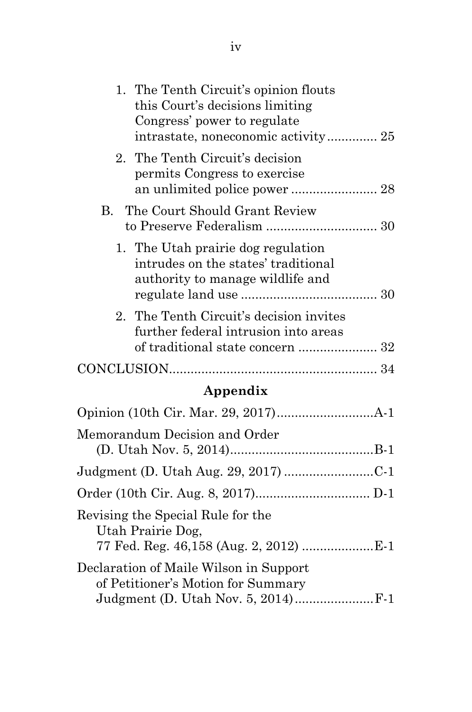| 1. The Tenth Circuit's opinion flouts<br>this Court's decisions limiting<br>Congress' power to regulate       |  |
|---------------------------------------------------------------------------------------------------------------|--|
| 2. The Tenth Circuit's decision<br>permits Congress to exercise                                               |  |
| B. The Court Should Grant Review                                                                              |  |
| 1. The Utah prairie dog regulation<br>intrudes on the states' traditional<br>authority to manage wildlife and |  |
| 2. The Tenth Circuit's decision invites<br>further federal intrusion into areas                               |  |
|                                                                                                               |  |
|                                                                                                               |  |

# **Appendix**

| Memorandum Decision and Order                                                |  |
|------------------------------------------------------------------------------|--|
|                                                                              |  |
|                                                                              |  |
| Revising the Special Rule for the<br>Utah Prairie Dog,                       |  |
| Declaration of Maile Wilson in Support<br>of Petitioner's Motion for Summary |  |
|                                                                              |  |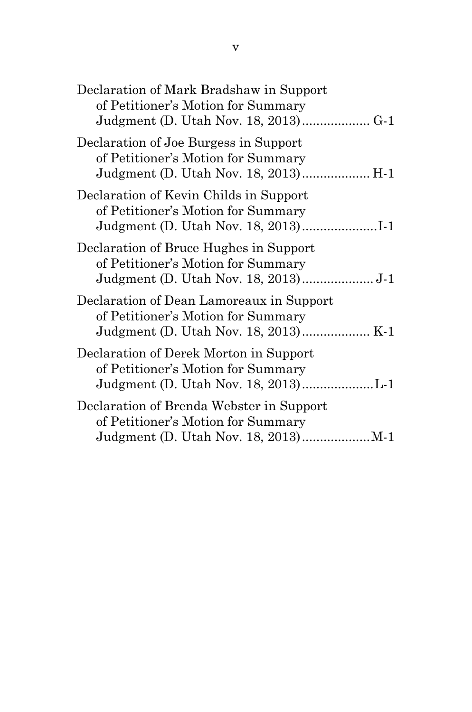| Declaration of Mark Bradshaw in Support<br>of Petitioner's Motion for Summary                                       |
|---------------------------------------------------------------------------------------------------------------------|
| Declaration of Joe Burgess in Support<br>of Petitioner's Motion for Summary<br>Judgment (D. Utah Nov. 18, 2013) H-1 |
| Declaration of Kevin Childs in Support<br>of Petitioner's Motion for Summary                                        |
| Declaration of Bruce Hughes in Support<br>of Petitioner's Motion for Summary                                        |
| Declaration of Dean Lamoreaux in Support<br>of Petitioner's Motion for Summary                                      |
| Declaration of Derek Morton in Support<br>of Petitioner's Motion for Summary                                        |
| Declaration of Brenda Webster in Support<br>of Petitioner's Motion for Summary                                      |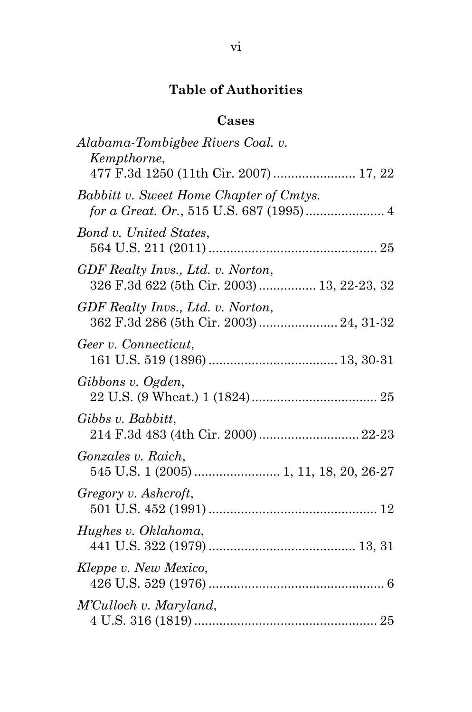# **Table of Authorities**

# **Cases**

| Alabama-Tombigbee Rivers Coal. v.<br>Kempthorne,                                 |
|----------------------------------------------------------------------------------|
| 477 F.3d 1250 (11th Cir. 2007) 17, 22                                            |
| Babbitt v. Sweet Home Chapter of Cmtys.                                          |
| Bond v. United States,                                                           |
| GDF Realty Invs., Ltd. v. Norton,<br>326 F.3d 622 (5th Cir. 2003)  13, 22-23, 32 |
| GDF Realty Invs., Ltd. v. Norton,<br>362 F.3d 286 (5th Cir. 2003)  24, 31-32     |
| Geer v. Connecticut,                                                             |
| Gibbons v. Ogden,                                                                |
| Gibbs v. Babbitt,<br>214 F.3d 483 (4th Cir. 2000)  22-23                         |
| <i>Gonzales v. Raich,</i><br>545 U.S. 1 (2005)  1, 11, 18, 20, 26-27             |
| Gregory v. Ashcroft,                                                             |
| Hughes v. Oklahoma,                                                              |
| Kleppe v. New Mexico,                                                            |
| M'Culloch v. Maryland,                                                           |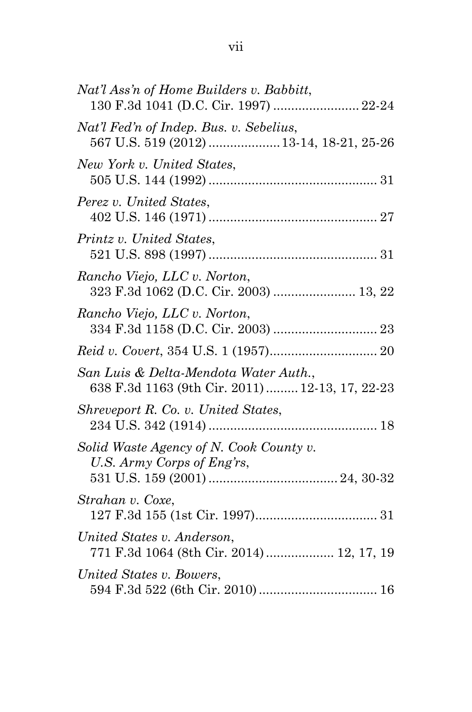| Nat'l Ass'n of Home Builders v. Babbitt,<br>130 F.3d 1041 (D.C. Cir. 1997)  22-24        |
|------------------------------------------------------------------------------------------|
| Nat'l Fed'n of Indep. Bus. v. Sebelius,<br>567 U.S. 519 (2012)  13-14, 18-21, 25-26      |
| New York v. United States,                                                               |
| Perez v. United States,                                                                  |
| Printz v. United States,                                                                 |
| Rancho Viejo, LLC v. Norton,<br>323 F.3d 1062 (D.C. Cir. 2003)  13, 22                   |
| Rancho Viejo, LLC v. Norton,                                                             |
|                                                                                          |
| San Luis & Delta-Mendota Water Auth.,<br>638 F.3d 1163 (9th Cir. 2011)  12-13, 17, 22-23 |
| Shreveport R. Co. v. United States,                                                      |
| Solid Waste Agency of N. Cook County v.<br>U.S. Army Corps of Eng'rs,                    |
| Strahan v. Coxe,                                                                         |
| United States v. Anderson,<br>771 F.3d 1064 (8th Cir. 2014)  12, 17, 19                  |
| United States v. Bowers,                                                                 |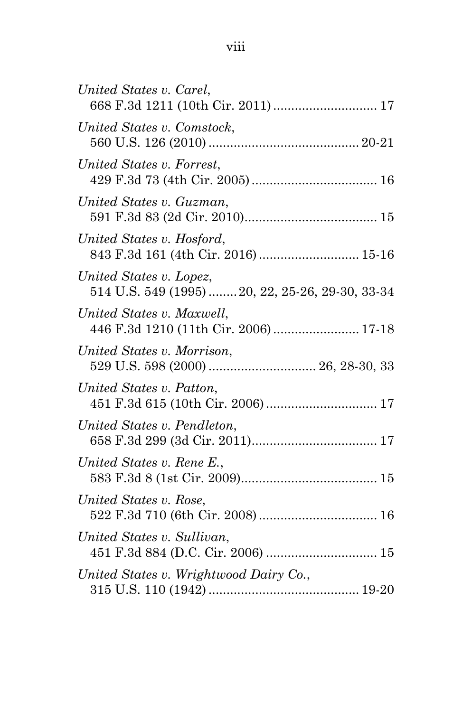| United States v. Carel,<br>668 F.3d 1211 (10th Cir. 2011)  17               |
|-----------------------------------------------------------------------------|
| United States v. Comstock,                                                  |
| United States v. Forrest,                                                   |
| United States v. Guzman,                                                    |
| United States v. Hosford,<br>843 F.3d 161 (4th Cir. 2016)  15-16            |
| United States v. Lopez,<br>514 U.S. 549 (1995)  20, 22, 25-26, 29-30, 33-34 |
| United States v. Maxwell,<br>446 F.3d 1210 (11th Cir. 2006)  17-18          |
| United States v. Morrison,                                                  |
| United States v. Patton,                                                    |
| United States v. Pendleton,                                                 |
| United States v. Rene E.,                                                   |
| United States v. Rose,                                                      |
| United States v. Sullivan,                                                  |
| United States v. Wrightwood Dairy Co.,                                      |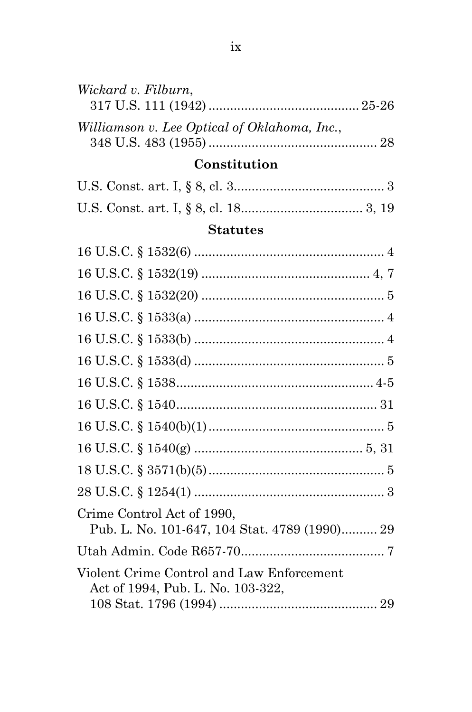| Wickard v. Filburn,                          |  |
|----------------------------------------------|--|
| Williamson v. Lee Optical of Oklahoma, Inc., |  |

# Constitution

# **Statutes**

| Crime Control Act of 1990,<br>Pub. L. No. 101-647, 104 Stat. 4789 (1990) 29    |  |
|--------------------------------------------------------------------------------|--|
|                                                                                |  |
| Violent Crime Control and Law Enforcement<br>Act of 1994, Pub. L. No. 103-322, |  |
|                                                                                |  |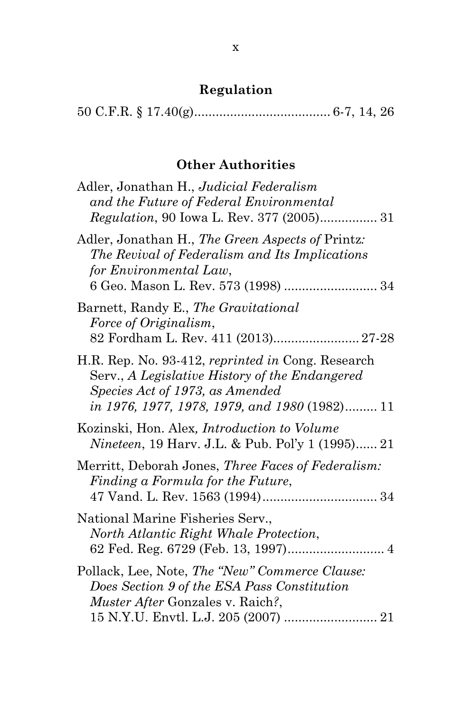# **Regulation**

|--|--|--|--|--|--|

## **Other Authorities**

| Adler, Jonathan H., Judicial Federalism<br>and the Future of Federal Environmental<br>Regulation, 90 Iowa L. Rev. 377 (2005) 31                                                         |
|-----------------------------------------------------------------------------------------------------------------------------------------------------------------------------------------|
| Adler, Jonathan H., The Green Aspects of Printz:<br>The Revival of Federalism and Its Implications<br>for Environmental Law,<br>6 Geo. Mason L. Rev. 573 (1998)  34                     |
| Barnett, Randy E., The Gravitational<br>Force of Originalism,<br>82 Fordham L. Rev. 411 (2013) 27-28                                                                                    |
| H.R. Rep. No. 93-412, reprinted in Cong. Research<br>Serv., A Legislative History of the Endangered<br>Species Act of 1973, as Amended<br>in 1976, 1977, 1978, 1979, and 1980 (1982) 11 |
| Kozinski, Hon. Alex, <i>Introduction to Volume</i><br><i>Nineteen</i> , 19 Harv. J.L. & Pub. Pol'y 1 (1995) 21                                                                          |
| Merritt, Deborah Jones, Three Faces of Federalism:<br>Finding a Formula for the Future,                                                                                                 |
| National Marine Fisheries Serv.,<br>North Atlantic Right Whale Protection,                                                                                                              |
| Pollack, Lee, Note, The "New" Commerce Clause:<br>Does Section 9 of the ESA Pass Constitution<br>Muster After Gonzales v. Raich?,                                                       |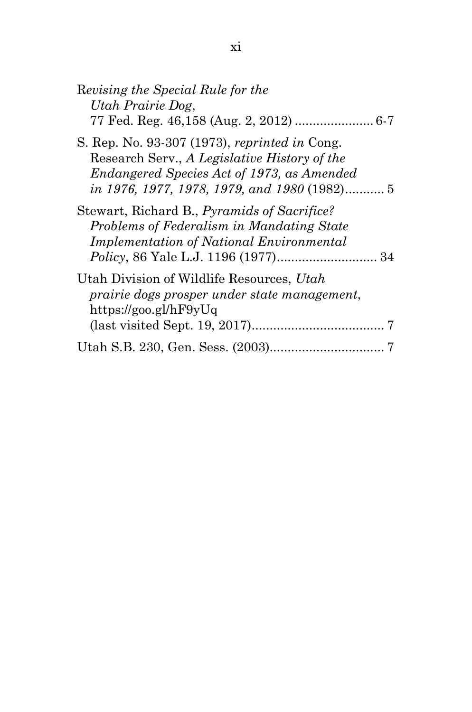| Revising the Special Rule for the<br>Utah Prairie Dog,                                                                                                                                      |
|---------------------------------------------------------------------------------------------------------------------------------------------------------------------------------------------|
|                                                                                                                                                                                             |
| S. Rep. No. 93-307 (1973), reprinted in Cong.<br>Research Serv., A Legislative History of the<br>Endangered Species Act of 1973, as Amended<br>in 1976, 1977, 1978, 1979, and 1980 (1982) 5 |
| Stewart, Richard B., <i>Pyramids of Sacrifice?</i><br>Problems of Federalism in Mandating State<br><b>Implementation of National Environmental</b>                                          |
| Utah Division of Wildlife Resources, Utah<br>prairie dogs prosper under state management,<br>https://goo.gl/hF9yUq                                                                          |
|                                                                                                                                                                                             |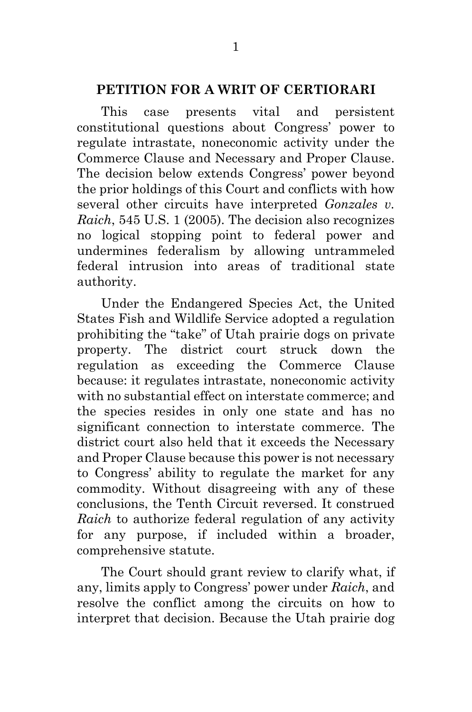#### **PETITION FOR A WRIT OF CERTIORARI**

This case presents vital and persistent constitutional questions about Congress' power to regulate intrastate, noneconomic activity under the Commerce Clause and Necessary and Proper Clause. The decision below extends Congress' power beyond the prior holdings of this Court and conflicts with how several other circuits have interpreted *Gonzales v. Raich*, 545 U.S. 1 (2005). The decision also recognizes no logical stopping point to federal power and undermines federalism by allowing untrammeled federal intrusion into areas of traditional state authority.

Under the Endangered Species Act, the United States Fish and Wildlife Service adopted a regulation prohibiting the "take" of Utah prairie dogs on private property. The district court struck down the regulation as exceeding the Commerce Clause because: it regulates intrastate, noneconomic activity with no substantial effect on interstate commerce; and the species resides in only one state and has no significant connection to interstate commerce. The district court also held that it exceeds the Necessary and Proper Clause because this power is not necessary to Congress' ability to regulate the market for any commodity. Without disagreeing with any of these conclusions, the Tenth Circuit reversed. It construed *Raich* to authorize federal regulation of any activity for any purpose, if included within a broader, comprehensive statute.

The Court should grant review to clarify what, if any, limits apply to Congress' power under *Raich*, and resolve the conflict among the circuits on how to interpret that decision. Because the Utah prairie dog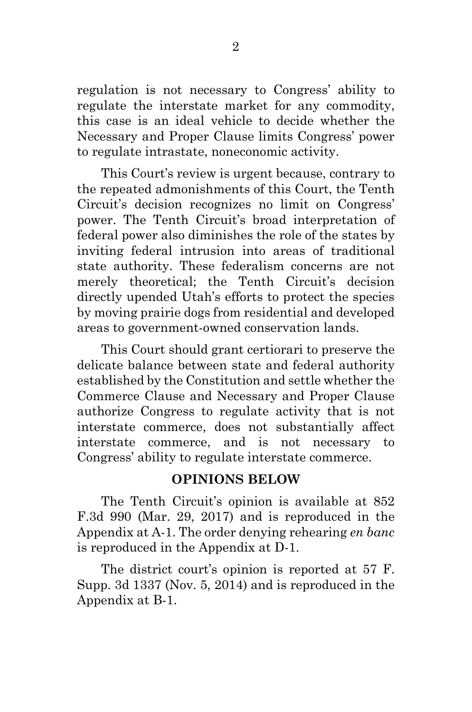regulation is not necessary to Congress' ability to regulate the interstate market for any commodity, this case is an ideal vehicle to decide whether the Necessary and Proper Clause limits Congress' power to regulate intrastate, noneconomic activity.

This Court's review is urgent because, contrary to the repeated admonishments of this Court, the Tenth Circuit's decision recognizes no limit on Congress' power. The Tenth Circuit's broad interpretation of federal power also diminishes the role of the states by inviting federal intrusion into areas of traditional state authority. These federalism concerns are not merely theoretical; the Tenth Circuit's decision directly upended Utah's efforts to protect the species by moving prairie dogs from residential and developed areas to government-owned conservation lands.

This Court should grant certiorari to preserve the delicate balance between state and federal authority established by the Constitution and settle whether the Commerce Clause and Necessary and Proper Clause authorize Congress to regulate activity that is not interstate commerce, does not substantially affect interstate commerce, and is not necessary to Congress' ability to regulate interstate commerce.

## **OPINIONS BELOW**

The Tenth Circuit's opinion is available at 852 F.3d 990 (Mar. 29, 2017) and is reproduced in the Appendix at A-1. The order denying rehearing *en banc* is reproduced in the Appendix at D-1.

The district court's opinion is reported at 57 F. Supp. 3d 1337 (Nov. 5, 2014) and is reproduced in the Appendix at B-1.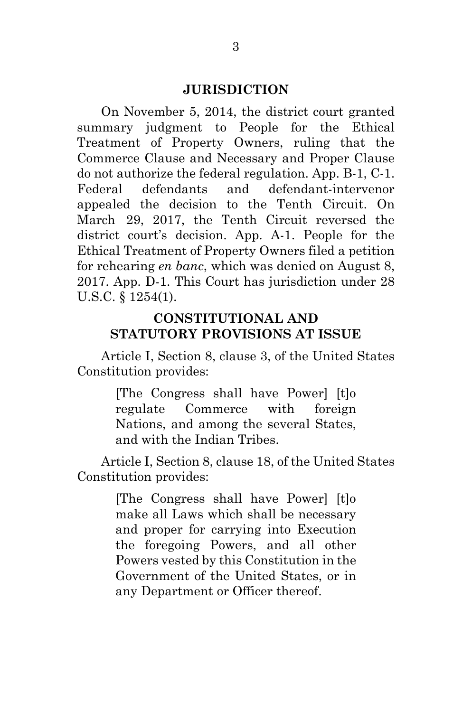#### **JURISDICTION**

On November 5, 2014, the district court granted summary judgment to People for the Ethical Treatment of Property Owners, ruling that the Commerce Clause and Necessary and Proper Clause do not authorize the federal regulation. App. B-1, C-1. Federal defendants and defendant-intervenor appealed the decision to the Tenth Circuit. On March 29, 2017, the Tenth Circuit reversed the district court's decision. App. A-1. People for the Ethical Treatment of Property Owners filed a petition for rehearing *en banc*, which was denied on August 8, 2017. App. D-1. This Court has jurisdiction under 28 U.S.C. § 1254(1).

#### **CONSTITUTIONAL AND STATUTORY PROVISIONS AT ISSUE**

Article I, Section 8, clause 3, of the United States Constitution provides:

> [The Congress shall have Power] [t]o regulate Commerce with foreign Nations, and among the several States, and with the Indian Tribes.

Article I, Section 8, clause 18, of the United States Constitution provides:

> [The Congress shall have Power] [t]o make all Laws which shall be necessary and proper for carrying into Execution the foregoing Powers, and all other Powers vested by this Constitution in the Government of the United States, or in any Department or Officer thereof.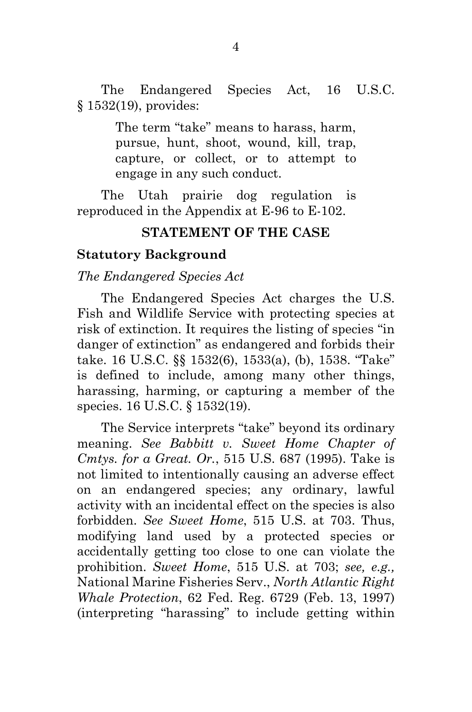The Endangered Species Act, 16 U.S.C. § 1532(19), provides:

> The term "take" means to harass, harm, pursue, hunt, shoot, wound, kill, trap, capture, or collect, or to attempt to engage in any such conduct.

The Utah prairie dog regulation is reproduced in the Appendix at E-96 to E-102.

#### **STATEMENT OF THE CASE**

#### **Statutory Background**

#### *The Endangered Species Act*

The Endangered Species Act charges the U.S. Fish and Wildlife Service with protecting species at risk of extinction. It requires the listing of species "in danger of extinction" as endangered and forbids their take. 16 U.S.C. §§ 1532(6), 1533(a), (b), 1538. "Take" is defined to include, among many other things, harassing, harming, or capturing a member of the species. 16 U.S.C. § 1532(19).

The Service interprets "take" beyond its ordinary meaning. *See Babbitt v. Sweet Home Chapter of Cmtys. for a Great. Or.*, 515 U.S. 687 (1995). Take is not limited to intentionally causing an adverse effect on an endangered species; any ordinary, lawful activity with an incidental effect on the species is also forbidden. *See Sweet Home*, 515 U.S. at 703. Thus, modifying land used by a protected species or accidentally getting too close to one can violate the prohibition. *Sweet Home*, 515 U.S. at 703; *see, e.g.,*  National Marine Fisheries Serv., *North Atlantic Right Whale Protection*, 62 Fed. Reg. 6729 (Feb. 13, 1997) (interpreting "harassing" to include getting within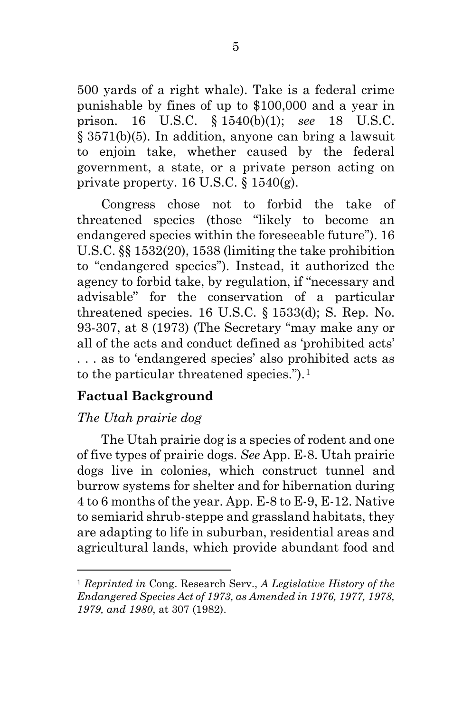500 yards of a right whale). Take is a federal crime punishable by fines of up to \$100,000 and a year in prison. 16 U.S.C. § 1540(b)(1); *see* 18 U.S.C. § 3571(b)(5). In addition, anyone can bring a lawsuit to enjoin take, whether caused by the federal government, a state, or a private person acting on private property. 16 U.S.C.  $\S 1540(g)$ .

Congress chose not to forbid the take of threatened species (those "likely to become an endangered species within the foreseeable future"). 16 U.S.C. §§ 1532(20), 1538 (limiting the take prohibition to "endangered species"). Instead, it authorized the agency to forbid take, by regulation, if "necessary and advisable" for the conservation of a particular threatened species. 16 U.S.C.  $\S$  1533(d); S. Rep. No. 93-307, at 8 (1973) (The Secretary "may make any or all of the acts and conduct defined as 'prohibited acts' . . . as to 'endangered species' also prohibited acts as to the particular threatened species.").[1](#page-16-0)

## **Factual Background**

## *The Utah prairie dog*

 $\overline{a}$ 

The Utah prairie dog is a species of rodent and one of five types of prairie dogs. *See* App. E-8. Utah prairie dogs live in colonies, which construct tunnel and burrow systems for shelter and for hibernation during 4 to 6 months of the year. App. E-8 to E-9, E-12. Native to semiarid shrub-steppe and grassland habitats, they are adapting to life in suburban, residential areas and agricultural lands, which provide abundant food and

<span id="page-16-0"></span><sup>1</sup> *Reprinted in* Cong. Research Serv., *A Legislative History of the Endangered Species Act of 1973, as Amended in 1976, 1977, 1978, 1979, and 1980*, at 307 (1982).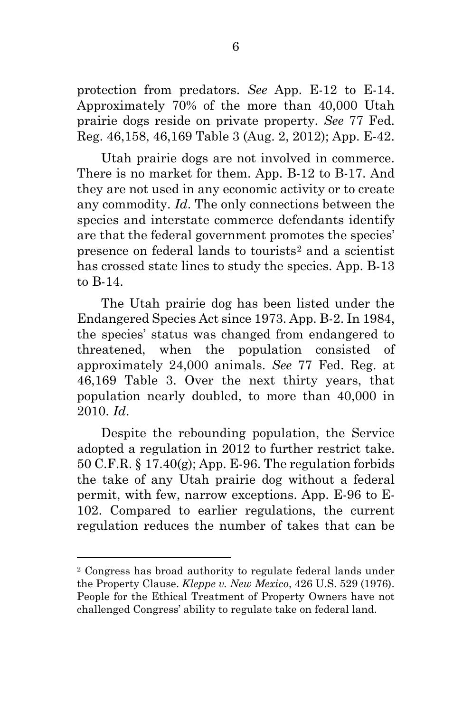protection from predators. *See* App. E-12 to E-14. Approximately 70% of the more than 40,000 Utah prairie dogs reside on private property. *See* 77 Fed. Reg. 46,158, 46,169 Table 3 (Aug. 2, 2012); App. E-42.

Utah prairie dogs are not involved in commerce. There is no market for them. App. B-12 to B-17. And they are not used in any economic activity or to create any commodity. *Id*. The only connections between the species and interstate commerce defendants identify are that the federal government promotes the species' presence on federal lands to tourists[2](#page-17-0) and a scientist has crossed state lines to study the species. App. B-13 to B-14.

The Utah prairie dog has been listed under the Endangered Species Act since 1973. App. B-2. In 1984, the species' status was changed from endangered to threatened, when the population consisted of approximately 24,000 animals. *See* 77 Fed. Reg. at 46,169 Table 3. Over the next thirty years, that population nearly doubled, to more than 40,000 in 2010. *Id*.

Despite the rebounding population, the Service adopted a regulation in 2012 to further restrict take. 50 C.F.R. § 17.40(g); App. E-96. The regulation forbids the take of any Utah prairie dog without a federal permit, with few, narrow exceptions. App. E-96 to E-102. Compared to earlier regulations, the current regulation reduces the number of takes that can be

<span id="page-17-0"></span><sup>2</sup> Congress has broad authority to regulate federal lands under the Property Clause. *Kleppe v. New Mexico*, 426 U.S. 529 (1976). People for the Ethical Treatment of Property Owners have not challenged Congress' ability to regulate take on federal land.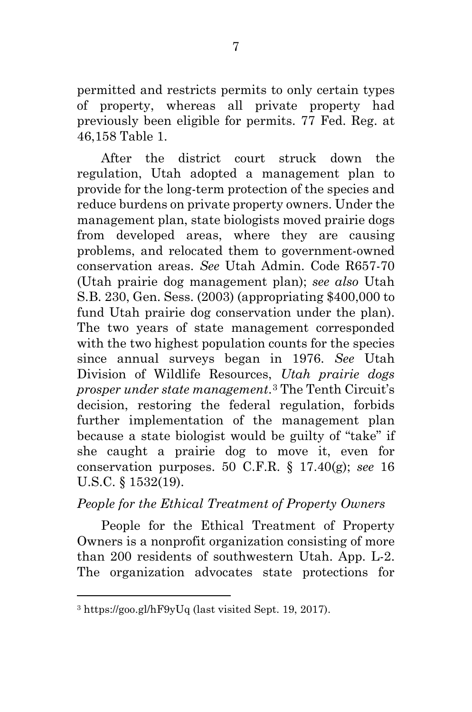permitted and restricts permits to only certain types of property, whereas all private property had previously been eligible for permits. 77 Fed. Reg. at 46,158 Table 1.

After the district court struck down the regulation, Utah adopted a management plan to provide for the long-term protection of the species and reduce burdens on private property owners. Under the management plan, state biologists moved prairie dogs from developed areas, where they are causing problems, and relocated them to government-owned conservation areas. *See* Utah Admin. Code R657-70 (Utah prairie dog management plan); *see also* Utah S.B. 230, Gen. Sess. (2003) (appropriating \$400,000 to fund Utah prairie dog conservation under the plan). The two years of state management corresponded with the two highest population counts for the species since annual surveys began in 1976. *See* Utah Division of Wildlife Resources, *Utah prairie dogs prosper under state management*.[3](#page-18-0) The Tenth Circuit's decision, restoring the federal regulation, forbids further implementation of the management plan because a state biologist would be guilty of "take" if she caught a prairie dog to move it, even for conservation purposes. 50 C.F.R. § 17.40(g); *see* 16 U.S.C. § 1532(19).

## *People for the Ethical Treatment of Property Owners*

People for the Ethical Treatment of Property Owners is a nonprofit organization consisting of more than 200 residents of southwestern Utah. App. L-2. The organization advocates state protections for

<span id="page-18-0"></span> $\overline{a}$ <sup>3</sup> https://goo.gl/hF9yUq (last visited Sept. 19, 2017).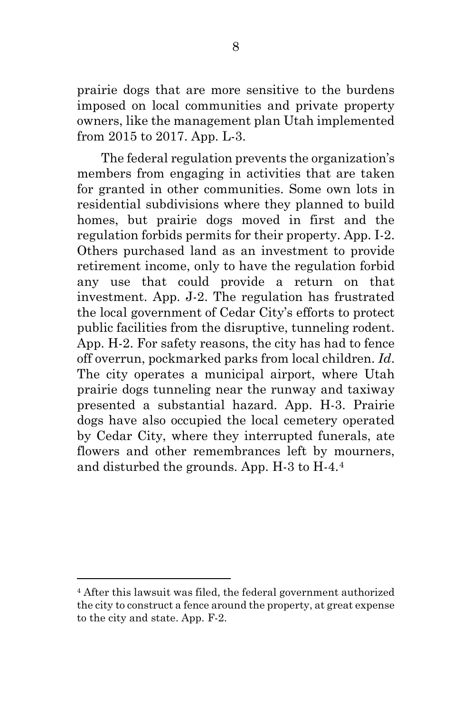prairie dogs that are more sensitive to the burdens imposed on local communities and private property owners, like the management plan Utah implemented from 2015 to 2017. App. L-3.

The federal regulation prevents the organization's members from engaging in activities that are taken for granted in other communities. Some own lots in residential subdivisions where they planned to build homes, but prairie dogs moved in first and the regulation forbids permits for their property. App. I-2. Others purchased land as an investment to provide retirement income, only to have the regulation forbid any use that could provide a return on that investment. App. J-2. The regulation has frustrated the local government of Cedar City's efforts to protect public facilities from the disruptive, tunneling rodent. App. H-2. For safety reasons, the city has had to fence off overrun, pockmarked parks from local children. *Id*. The city operates a municipal airport, where Utah prairie dogs tunneling near the runway and taxiway presented a substantial hazard. App. H-3. Prairie dogs have also occupied the local cemetery operated by Cedar City, where they interrupted funerals, ate flowers and other remembrances left by mourners, and disturbed the grounds. App. H-3 to H-4.[4](#page-19-0)

<span id="page-19-0"></span><sup>4</sup> After this lawsuit was filed, the federal government authorized the city to construct a fence around the property, at great expense to the city and state. App. F-2.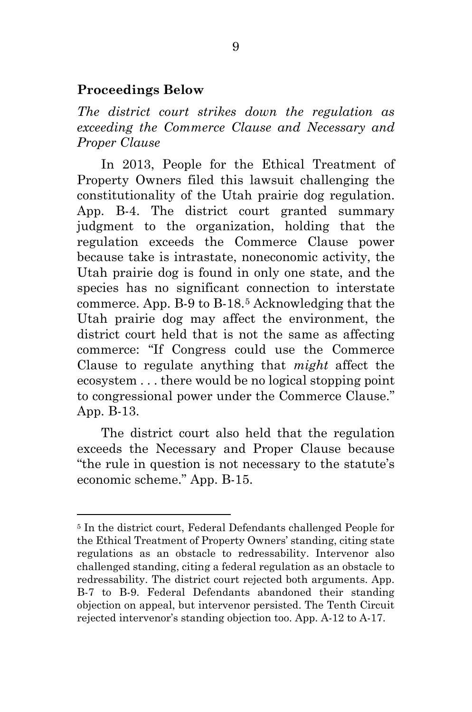#### **Proceedings Below**

 $\overline{a}$ 

*The district court strikes down the regulation as exceeding the Commerce Clause and Necessary and Proper Clause*

In 2013, People for the Ethical Treatment of Property Owners filed this lawsuit challenging the constitutionality of the Utah prairie dog regulation. App. B-4. The district court granted summary judgment to the organization, holding that the regulation exceeds the Commerce Clause power because take is intrastate, noneconomic activity, the Utah prairie dog is found in only one state, and the species has no significant connection to interstate commerce. App. B-9 to B-18.[5](#page-20-0) Acknowledging that the Utah prairie dog may affect the environment, the district court held that is not the same as affecting commerce: "If Congress could use the Commerce Clause to regulate anything that *might* affect the ecosystem . . . there would be no logical stopping point to congressional power under the Commerce Clause." App. B-13.

The district court also held that the regulation exceeds the Necessary and Proper Clause because "the rule in question is not necessary to the statute's economic scheme." App. B-15.

<span id="page-20-0"></span><sup>5</sup> In the district court, Federal Defendants challenged People for the Ethical Treatment of Property Owners' standing, citing state regulations as an obstacle to redressability. Intervenor also challenged standing, citing a federal regulation as an obstacle to redressability. The district court rejected both arguments. App. B-7 to B-9. Federal Defendants abandoned their standing objection on appeal, but intervenor persisted. The Tenth Circuit rejected intervenor's standing objection too. App. A-12 to A-17.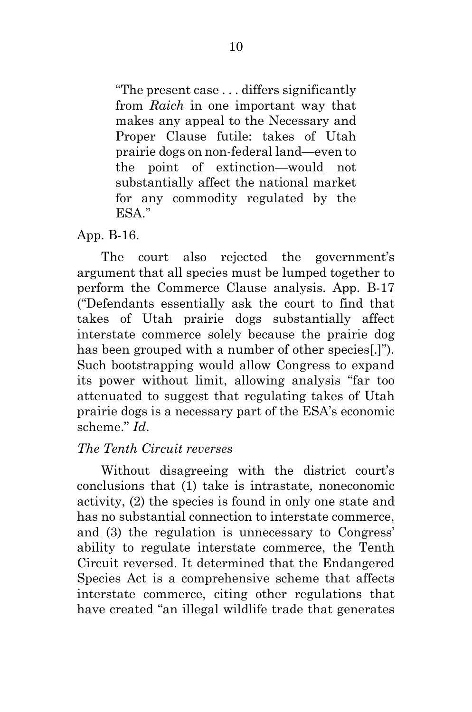"The present case . . . differs significantly from *Raich* in one important way that makes any appeal to the Necessary and Proper Clause futile: takes of Utah prairie dogs on non-federal land—even to the point of extinction—would not substantially affect the national market for any commodity regulated by the ESA"

App. B-16.

The court also rejected the government's argument that all species must be lumped together to perform the Commerce Clause analysis. App. B-17 ("Defendants essentially ask the court to find that takes of Utah prairie dogs substantially affect interstate commerce solely because the prairie dog has been grouped with a number of other species[.]"). Such bootstrapping would allow Congress to expand its power without limit, allowing analysis "far too attenuated to suggest that regulating takes of Utah prairie dogs is a necessary part of the ESA's economic scheme." *Id*.

## *The Tenth Circuit reverses*

Without disagreeing with the district court's conclusions that (1) take is intrastate, noneconomic activity, (2) the species is found in only one state and has no substantial connection to interstate commerce, and (3) the regulation is unnecessary to Congress' ability to regulate interstate commerce, the Tenth Circuit reversed. It determined that the Endangered Species Act is a comprehensive scheme that affects interstate commerce, citing other regulations that have created "an illegal wildlife trade that generates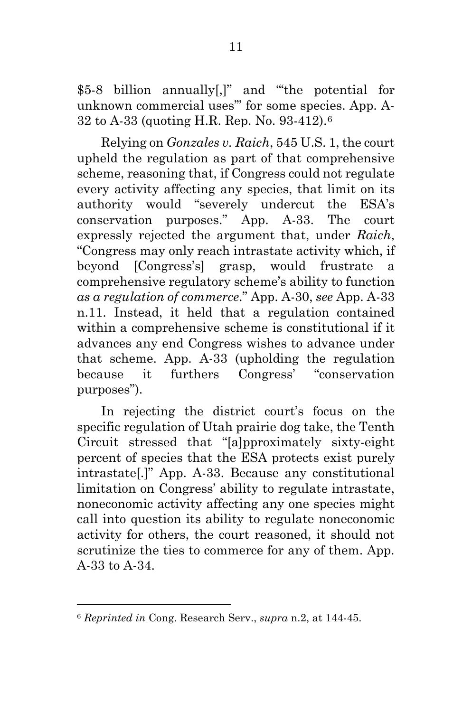\$5-8 billion annually[,]" and "'the potential for unknown commercial uses'" for some species. App. A-32 to A-33 (quoting H.R. Rep. No. 93-412).[6](#page-22-0)

Relying on *Gonzales v. Raich*, 545 U.S. 1, the court upheld the regulation as part of that comprehensive scheme, reasoning that, if Congress could not regulate every activity affecting any species, that limit on its authority would "severely undercut the ESA's conservation purposes." App. A-33. The court expressly rejected the argument that, under *Raich*, "Congress may only reach intrastate activity which, if beyond [Congress's] grasp, would frustrate a comprehensive regulatory scheme's ability to function *as a regulation of commerce*." App. A-30, *see* App. A-33 n.11. Instead, it held that a regulation contained within a comprehensive scheme is constitutional if it advances any end Congress wishes to advance under that scheme. App. A-33 (upholding the regulation because it furthers Congress' "conservation purposes").

In rejecting the district court's focus on the specific regulation of Utah prairie dog take, the Tenth Circuit stressed that "[a]pproximately sixty-eight percent of species that the ESA protects exist purely intrastate[.]" App. A-33. Because any constitutional limitation on Congress' ability to regulate intrastate, noneconomic activity affecting any one species might call into question its ability to regulate noneconomic activity for others, the court reasoned, it should not scrutinize the ties to commerce for any of them. App. A-33 to A-34.

<span id="page-22-0"></span><sup>6</sup> *Reprinted in* Cong. Research Serv., *supra* n.2, at 144-45.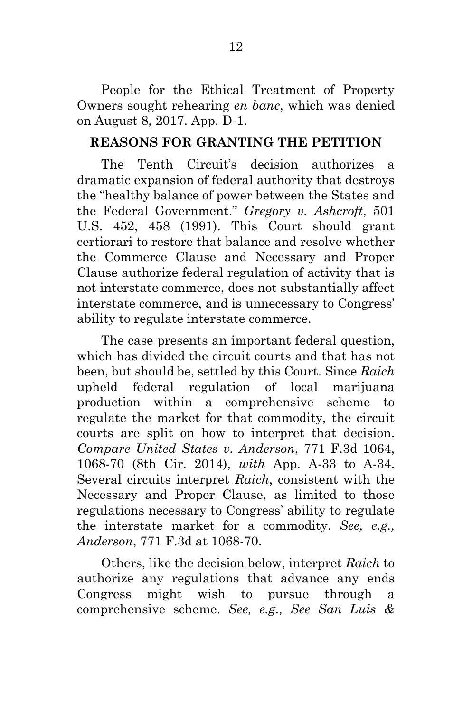People for the Ethical Treatment of Property Owners sought rehearing *en banc*, which was denied on August 8, 2017. App. D-1.

## **REASONS FOR GRANTING THE PETITION**

The Tenth Circuit's decision authorizes a dramatic expansion of federal authority that destroys the "healthy balance of power between the States and the Federal Government." *Gregory v. Ashcroft*, 501 U.S. 452, 458 (1991). This Court should grant certiorari to restore that balance and resolve whether the Commerce Clause and Necessary and Proper Clause authorize federal regulation of activity that is not interstate commerce, does not substantially affect interstate commerce, and is unnecessary to Congress' ability to regulate interstate commerce.

The case presents an important federal question, which has divided the circuit courts and that has not been, but should be, settled by this Court. Since *Raich* upheld federal regulation of local marijuana production within a comprehensive scheme to regulate the market for that commodity, the circuit courts are split on how to interpret that decision. *Compare United States v. Anderson*, 771 F.3d 1064, 1068-70 (8th Cir. 2014), *with* App. A-33 to A-34. Several circuits interpret *Raich*, consistent with the Necessary and Proper Clause, as limited to those regulations necessary to Congress' ability to regulate the interstate market for a commodity. *See, e.g., Anderson*, 771 F.3d at 1068-70.

Others, like the decision below, interpret *Raich* to authorize any regulations that advance any ends Congress might wish to pursue through a comprehensive scheme. *See, e.g., See San Luis &*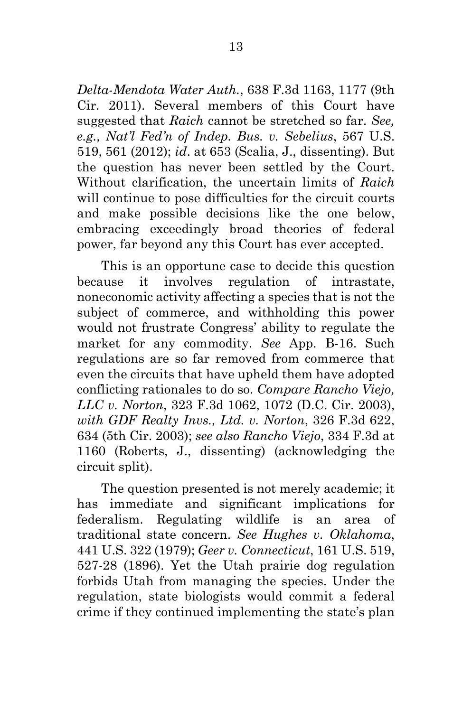*Delta-Mendota Water Auth.*, 638 F.3d 1163, 1177 (9th Cir. 2011). Several members of this Court have suggested that *Raich* cannot be stretched so far. *See, e.g., Nat'l Fed'n of Indep. Bus. v. Sebelius*, 567 U.S. 519, 561 (2012); *id*. at 653 (Scalia, J., dissenting). But the question has never been settled by the Court. Without clarification, the uncertain limits of *Raich* will continue to pose difficulties for the circuit courts and make possible decisions like the one below, embracing exceedingly broad theories of federal power, far beyond any this Court has ever accepted.

This is an opportune case to decide this question because it involves regulation of intrastate, noneconomic activity affecting a species that is not the subject of commerce, and withholding this power would not frustrate Congress' ability to regulate the market for any commodity. *See* App. B-16. Such regulations are so far removed from commerce that even the circuits that have upheld them have adopted conflicting rationales to do so. *Compare Rancho Viejo, LLC v. Norton*, 323 F.3d 1062, 1072 (D.C. Cir. 2003), *with GDF Realty Invs., Ltd. v. Norton*, 326 F.3d 622, 634 (5th Cir. 2003); *see also Rancho Viejo*, 334 F.3d at 1160 (Roberts, J., dissenting) (acknowledging the circuit split).

The question presented is not merely academic; it has immediate and significant implications for federalism. Regulating wildlife is an area of traditional state concern. *See Hughes v. Oklahoma*, 441 U.S. 322 (1979); *Geer v. Connecticut*, 161 U.S. 519, 527-28 (1896). Yet the Utah prairie dog regulation forbids Utah from managing the species. Under the regulation, state biologists would commit a federal crime if they continued implementing the state's plan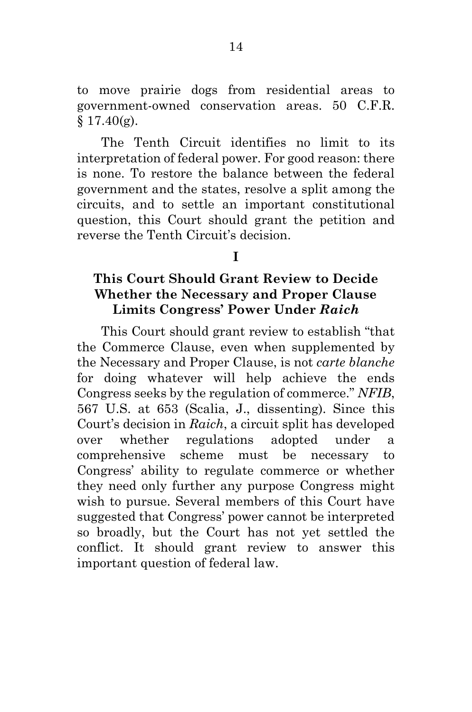to move prairie dogs from residential areas to government-owned conservation areas. 50 C.F.R.  $$17.40(g).$ 

The Tenth Circuit identifies no limit to its interpretation of federal power. For good reason: there is none. To restore the balance between the federal government and the states, resolve a split among the circuits, and to settle an important constitutional question, this Court should grant the petition and reverse the Tenth Circuit's decision.

**I**

## **This Court Should Grant Review to Decide Whether the Necessary and Proper Clause Limits Congress' Power Under** *Raich*

This Court should grant review to establish "that the Commerce Clause, even when supplemented by the Necessary and Proper Clause, is not *carte blanche* for doing whatever will help achieve the ends Congress seeks by the regulation of commerce." *NFIB*, 567 U.S. at 653 (Scalia, J., dissenting). Since this Court's decision in *Raich*, a circuit split has developed over whether regulations adopted under a comprehensive scheme must be necessary to Congress' ability to regulate commerce or whether they need only further any purpose Congress might wish to pursue. Several members of this Court have suggested that Congress' power cannot be interpreted so broadly, but the Court has not yet settled the conflict. It should grant review to answer this important question of federal law.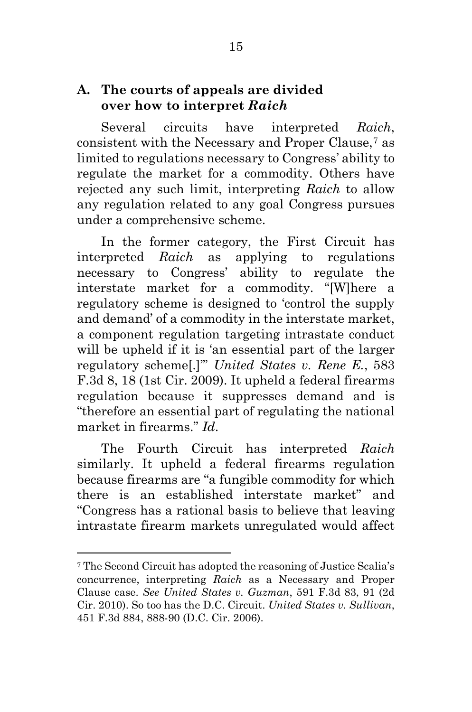## **A. The courts of appeals are divided over how to interpret** *Raich*

Several circuits have interpreted *Raich*, consistent with the Necessary and Proper Clause,[7](#page-26-0) as limited to regulations necessary to Congress' ability to regulate the market for a commodity. Others have rejected any such limit, interpreting *Raich* to allow any regulation related to any goal Congress pursues under a comprehensive scheme.

In the former category, the First Circuit has interpreted *Raich* as applying to regulations necessary to Congress' ability to regulate the interstate market for a commodity. "[W]here a regulatory scheme is designed to 'control the supply and demand' of a commodity in the interstate market, a component regulation targeting intrastate conduct will be upheld if it is 'an essential part of the larger regulatory scheme[.]'" *United States v. Rene E.*, 583 F.3d 8, 18 (1st Cir. 2009). It upheld a federal firearms regulation because it suppresses demand and is "therefore an essential part of regulating the national market in firearms." *Id*.

The Fourth Circuit has interpreted *Raich* similarly. It upheld a federal firearms regulation because firearms are "a fungible commodity for which there is an established interstate market" and "Congress has a rational basis to believe that leaving intrastate firearm markets unregulated would affect

<span id="page-26-0"></span><sup>7</sup> The Second Circuit has adopted the reasoning of Justice Scalia's concurrence, interpreting *Raich* as a Necessary and Proper Clause case. *See United States v. Guzman*, 591 F.3d 83, 91 (2d Cir. 2010). So too has the D.C. Circuit. *United States v. Sullivan*, 451 F.3d 884, 888-90 (D.C. Cir. 2006).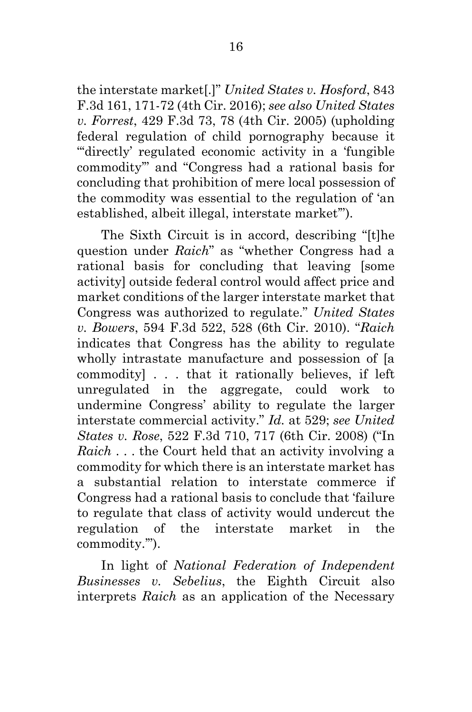the interstate market[.]" *United States v. Hosford*, 843 F.3d 161, 171-72 (4th Cir. 2016); *see also United States v. Forrest*, 429 F.3d 73, 78 (4th Cir. 2005) (upholding federal regulation of child pornography because it "directly' regulated economic activity in a 'fungible commodity'" and "Congress had a rational basis for concluding that prohibition of mere local possession of the commodity was essential to the regulation of 'an established, albeit illegal, interstate market'").

The Sixth Circuit is in accord, describing "[t]he question under *Raich*" as "whether Congress had a rational basis for concluding that leaving [some activity] outside federal control would affect price and market conditions of the larger interstate market that Congress was authorized to regulate." *United States v. Bowers*, 594 F.3d 522, 528 (6th Cir. 2010). "*Raich* indicates that Congress has the ability to regulate wholly intrastate manufacture and possession of [a commodity] . . . that it rationally believes, if left unregulated in the aggregate, could work to undermine Congress' ability to regulate the larger interstate commercial activity." *Id.* at 529; *see United States v. Rose*, 522 F.3d 710, 717 (6th Cir. 2008) ("In *Raich* . . . the Court held that an activity involving a commodity for which there is an interstate market has a substantial relation to interstate commerce if Congress had a rational basis to conclude that 'failure to regulate that class of activity would undercut the regulation of the interstate market in the commodity.'").

In light of *National Federation of Independent Businesses v. Sebelius*, the Eighth Circuit also interprets *Raich* as an application of the Necessary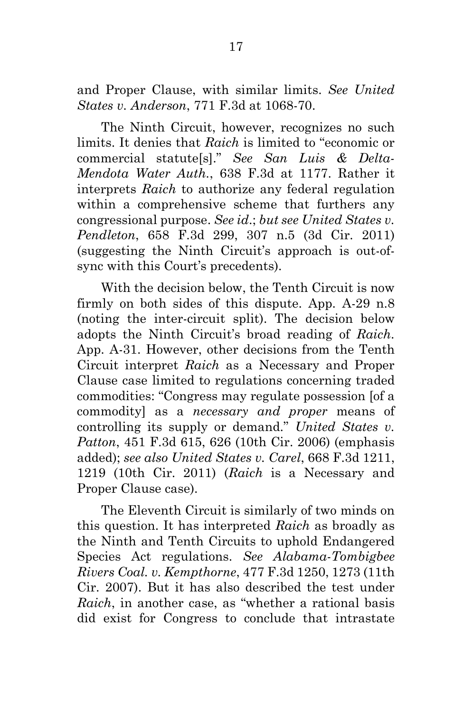and Proper Clause, with similar limits. *See United States v. Anderson*, 771 F.3d at 1068-70.

The Ninth Circuit, however, recognizes no such limits. It denies that *Raich* is limited to "economic or commercial statute[s]." *See San Luis & Delta-Mendota Water Auth.*, 638 F.3d at 1177. Rather it interprets *Raich* to authorize any federal regulation within a comprehensive scheme that furthers any congressional purpose. *See id*.; *but see United States v. Pendleton*, 658 F.3d 299, 307 n.5 (3d Cir. 2011) (suggesting the Ninth Circuit's approach is out-ofsync with this Court's precedents).

With the decision below, the Tenth Circuit is now firmly on both sides of this dispute. App. A-29 n.8 (noting the inter-circuit split). The decision below adopts the Ninth Circuit's broad reading of *Raich*. App. A-31. However, other decisions from the Tenth Circuit interpret *Raich* as a Necessary and Proper Clause case limited to regulations concerning traded commodities: "Congress may regulate possession [of a commodity] as a *necessary and proper* means of controlling its supply or demand." *United States v. Patton*, 451 F.3d 615, 626 (10th Cir. 2006) (emphasis added); *see also United States v. Carel*, 668 F.3d 1211, 1219 (10th Cir. 2011) (*Raich* is a Necessary and Proper Clause case).

The Eleventh Circuit is similarly of two minds on this question. It has interpreted *Raich* as broadly as the Ninth and Tenth Circuits to uphold Endangered Species Act regulations. *See Alabama-Tombigbee Rivers Coal. v. Kempthorne*, 477 F.3d 1250, 1273 (11th Cir. 2007). But it has also described the test under *Raich*, in another case, as "whether a rational basis did exist for Congress to conclude that intrastate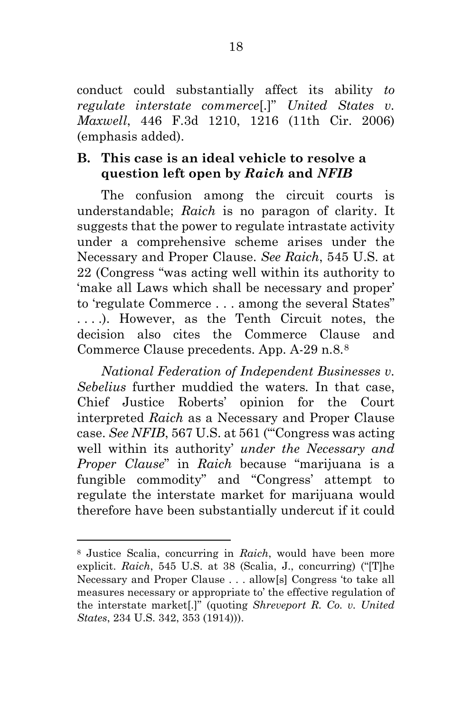conduct could substantially affect its ability *to regulate interstate commerce*[.]" *United States v. Maxwell*, 446 F.3d 1210, 1216 (11th Cir. 2006) (emphasis added).

## **B. This case is an ideal vehicle to resolve a question left open by** *Raich* **and** *NFIB*

The confusion among the circuit courts is understandable; *Raich* is no paragon of clarity. It suggests that the power to regulate intrastate activity under a comprehensive scheme arises under the Necessary and Proper Clause. *See Raich*, 545 U.S. at 22 (Congress "was acting well within its authority to 'make all Laws which shall be necessary and proper' to 'regulate Commerce . . . among the several States" . . . .). However, as the Tenth Circuit notes, the decision also cites the Commerce Clause and Commerce Clause precedents. App. A-29 n.8.[8](#page-29-0)

*National Federation of Independent Businesses v. Sebelius* further muddied the waters*.* In that case, Chief Justice Roberts' opinion for the Court interpreted *Raich* as a Necessary and Proper Clause case. *See NFIB*, 567 U.S. at 561 ("'Congress was acting well within its authority' *under the Necessary and Proper Clause*" in *Raich* because "marijuana is a fungible commodity" and "Congress' attempt to regulate the interstate market for marijuana would therefore have been substantially undercut if it could

<span id="page-29-0"></span><sup>8</sup> Justice Scalia, concurring in *Raich*, would have been more explicit. *Raich*, 545 U.S. at 38 (Scalia, J., concurring) ("[T]he Necessary and Proper Clause . . . allow[s] Congress 'to take all measures necessary or appropriate to' the effective regulation of the interstate market[.]" (quoting *Shreveport R. Co. v. United States*, 234 U.S. 342, 353 (1914))).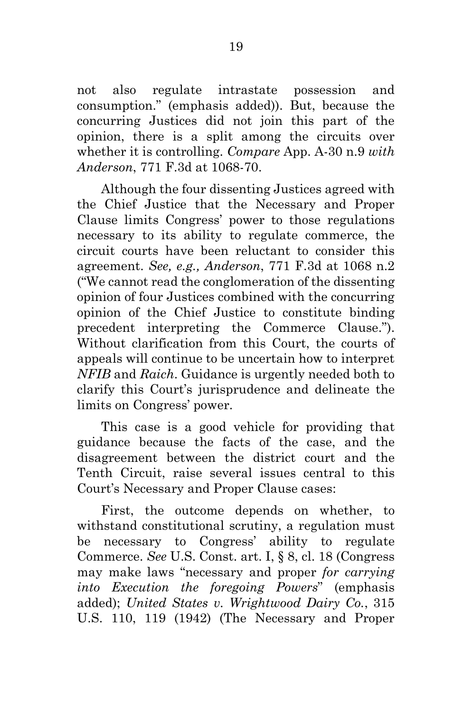not also regulate intrastate possession and consumption." (emphasis added)). But, because the concurring Justices did not join this part of the opinion, there is a split among the circuits over whether it is controlling. *Compare* App. A-30 n.9 *with Anderson*, 771 F.3d at 1068-70.

Although the four dissenting Justices agreed with the Chief Justice that the Necessary and Proper Clause limits Congress' power to those regulations necessary to its ability to regulate commerce, the circuit courts have been reluctant to consider this agreement. *See, e.g., Anderson*, 771 F.3d at 1068 n.2 ("We cannot read the conglomeration of the dissenting opinion of four Justices combined with the concurring opinion of the Chief Justice to constitute binding precedent interpreting the Commerce Clause."). Without clarification from this Court, the courts of appeals will continue to be uncertain how to interpret *NFIB* and *Raich*. Guidance is urgently needed both to clarify this Court's jurisprudence and delineate the limits on Congress' power.

This case is a good vehicle for providing that guidance because the facts of the case, and the disagreement between the district court and the Tenth Circuit, raise several issues central to this Court's Necessary and Proper Clause cases:

First, the outcome depends on whether, to withstand constitutional scrutiny, a regulation must be necessary to Congress' ability to regulate Commerce. *See* U.S. Const. art. I, § 8, cl. 18 (Congress may make laws "necessary and proper *for carrying into Execution the foregoing Powers*" (emphasis added); *United States v. Wrightwood Dairy Co.*, 315 U.S. 110, 119 (1942) (The Necessary and Proper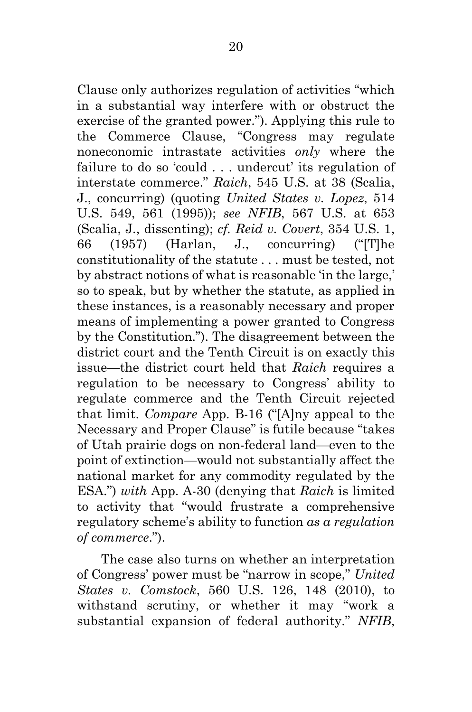Clause only authorizes regulation of activities "which in a substantial way interfere with or obstruct the exercise of the granted power."). Applying this rule to the Commerce Clause, "Congress may regulate noneconomic intrastate activities *only* where the failure to do so 'could . . . undercut' its regulation of interstate commerce." *Raich*, 545 U.S. at 38 (Scalia, J., concurring) (quoting *United States v. Lopez*, 514 U.S. 549, 561 (1995)); *see NFIB*, 567 U.S. at 653 (Scalia, J., dissenting); *cf. Reid v. Covert*, 354 U.S. 1, 66 (1957) (Harlan, J., concurring) ("[T]he constitutionality of the statute . . . must be tested, not by abstract notions of what is reasonable 'in the large,' so to speak, but by whether the statute, as applied in these instances, is a reasonably necessary and proper means of implementing a power granted to Congress by the Constitution."). The disagreement between the district court and the Tenth Circuit is on exactly this issue—the district court held that *Raich* requires a regulation to be necessary to Congress' ability to regulate commerce and the Tenth Circuit rejected that limit. *Compare* App. B-16 ("[A]ny appeal to the Necessary and Proper Clause" is futile because "takes of Utah prairie dogs on non-federal land—even to the point of extinction—would not substantially affect the national market for any commodity regulated by the ESA.") *with* App. A-30 (denying that *Raich* is limited to activity that "would frustrate a comprehensive regulatory scheme's ability to function *as a regulation of commerce*.").

The case also turns on whether an interpretation of Congress' power must be "narrow in scope," *United States v. Comstock*, 560 U.S. 126, 148 (2010), to withstand scrutiny, or whether it may "work a substantial expansion of federal authority." *NFIB*,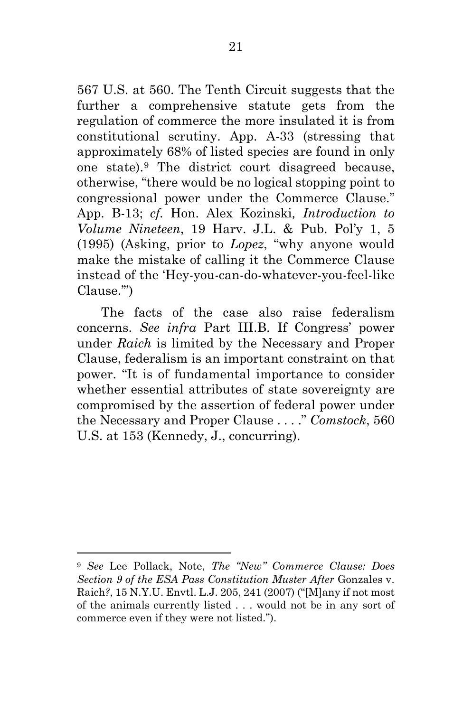567 U.S. at 560. The Tenth Circuit suggests that the further a comprehensive statute gets from the regulation of commerce the more insulated it is from constitutional scrutiny. App. A-33 (stressing that approximately 68% of listed species are found in only one state).[9](#page-32-0) The district court disagreed because, otherwise, "there would be no logical stopping point to congressional power under the Commerce Clause." App. B-13; *cf.* Hon. Alex Kozinski*, Introduction to Volume Nineteen*, 19 Harv. J.L. & Pub. Pol'y 1, 5 (1995) (Asking, prior to *Lopez*, "why anyone would make the mistake of calling it the Commerce Clause instead of the 'Hey-you-can-do-whatever-you-feel-like Clause.'")

The facts of the case also raise federalism concerns. *See infra* Part III.B. If Congress' power under *Raich* is limited by the Necessary and Proper Clause, federalism is an important constraint on that power. "It is of fundamental importance to consider whether essential attributes of state sovereignty are compromised by the assertion of federal power under the Necessary and Proper Clause . . . ." *Comstock*, 560 U.S. at 153 (Kennedy, J., concurring).

<span id="page-32-0"></span><sup>9</sup> *See* Lee Pollack, Note, *The "New" Commerce Clause: Does Section 9 of the ESA Pass Constitution Muster After* Gonzales v. Raich*?*, 15 N.Y.U. Envtl. L.J. 205, 241 (2007) ("[M]any if not most of the animals currently listed . . . would not be in any sort of commerce even if they were not listed.").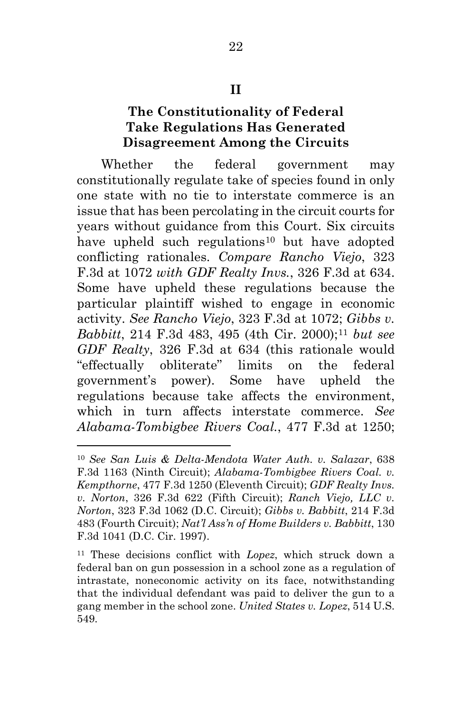#### **II**

## **The Constitutionality of Federal Take Regulations Has Generated Disagreement Among the Circuits**

Whether the federal government may constitutionally regulate take of species found in only one state with no tie to interstate commerce is an issue that has been percolating in the circuit courts for years without guidance from this Court. Six circuits have upheld such regulations<sup>[10](#page-33-0)</sup> but have adopted conflicting rationales. *Compare Rancho Viejo*, 323 F.3d at 1072 *with GDF Realty Invs.*, 326 F.3d at 634. Some have upheld these regulations because the particular plaintiff wished to engage in economic activity. *See Rancho Viejo*, 323 F.3d at 1072; *Gibbs v. Babbitt*, 214 F.3d 483, 495 (4th Cir. 2000);<sup>[11](#page-33-1)</sup> *but see GDF Realty*, 326 F.3d at 634 (this rationale would "effectually obliterate" limits on the federal government's power). Some have upheld the regulations because take affects the environment, which in turn affects interstate commerce. *See Alabama-Tombigbee Rivers Coal.*, 477 F.3d at 1250;

<span id="page-33-0"></span><sup>10</sup> *See San Luis & Delta-Mendota Water Auth. v. Salazar*, 638 F.3d 1163 (Ninth Circuit); *Alabama-Tombigbee Rivers Coal. v. Kempthorne*, 477 F.3d 1250 (Eleventh Circuit); *GDF Realty Invs. v. Norton*, 326 F.3d 622 (Fifth Circuit); *Ranch Viejo, LLC v. Norton*, 323 F.3d 1062 (D.C. Circuit); *Gibbs v. Babbitt*, 214 F.3d 483 (Fourth Circuit); *Nat'l Ass'n of Home Builders v. Babbitt*, 130 F.3d 1041 (D.C. Cir. 1997).

<span id="page-33-1"></span><sup>11</sup> These decisions conflict with *Lopez*, which struck down a federal ban on gun possession in a school zone as a regulation of intrastate, noneconomic activity on its face, notwithstanding that the individual defendant was paid to deliver the gun to a gang member in the school zone. *United States v. Lopez*, 514 U.S. 549.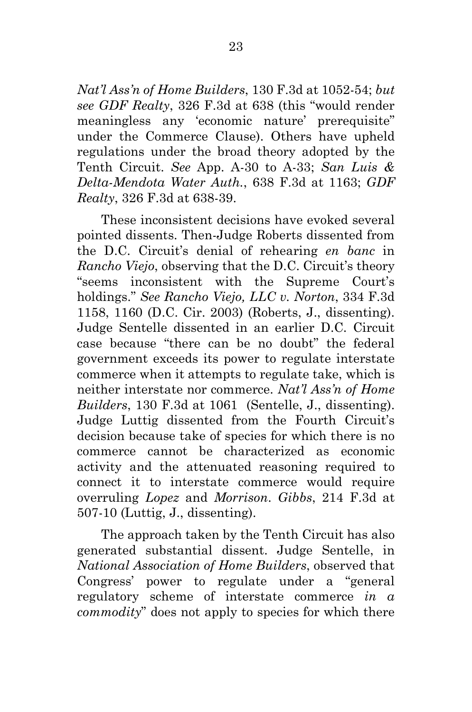*Nat'l Ass'n of Home Builders*, 130 F.3d at 1052-54; *but see GDF Realty*, 326 F.3d at 638 (this "would render meaningless any 'economic nature' prerequisite" under the Commerce Clause). Others have upheld regulations under the broad theory adopted by the Tenth Circuit. *See* App. A-30 to A-33; *San Luis & Delta-Mendota Water Auth.*, 638 F.3d at 1163; *GDF Realty*, 326 F.3d at 638-39.

These inconsistent decisions have evoked several pointed dissents. Then-Judge Roberts dissented from the D.C. Circuit's denial of rehearing *en banc* in *Rancho Viejo*, observing that the D.C. Circuit's theory "seems inconsistent with the Supreme Court's holdings." *See Rancho Viejo, LLC v. Norton*, 334 F.3d 1158, 1160 (D.C. Cir. 2003) (Roberts, J., dissenting). Judge Sentelle dissented in an earlier D.C. Circuit case because "there can be no doubt" the federal government exceeds its power to regulate interstate commerce when it attempts to regulate take, which is neither interstate nor commerce. *Nat'l Ass'n of Home Builders*, 130 F.3d at 1061 (Sentelle, J., dissenting). Judge Luttig dissented from the Fourth Circuit's decision because take of species for which there is no commerce cannot be characterized as economic activity and the attenuated reasoning required to connect it to interstate commerce would require overruling *Lopez* and *Morrison*. *Gibbs*, 214 F.3d at 507-10 (Luttig, J., dissenting).

The approach taken by the Tenth Circuit has also generated substantial dissent. Judge Sentelle, in *National Association of Home Builders*, observed that Congress' power to regulate under a "general regulatory scheme of interstate commerce *in a commodity*" does not apply to species for which there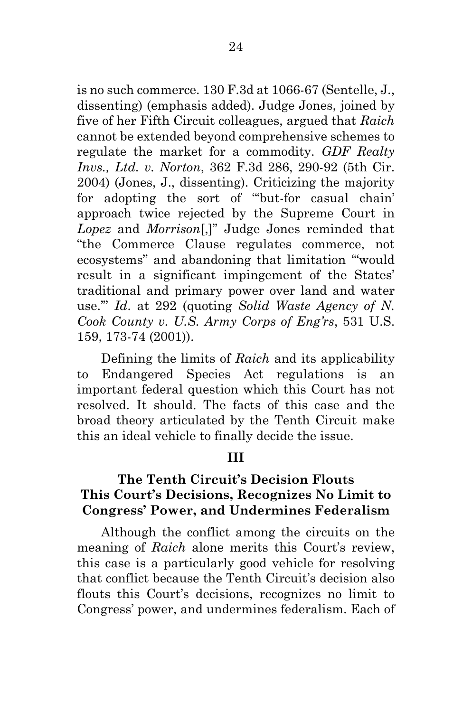is no such commerce. 130 F.3d at 1066-67 (Sentelle, J., dissenting) (emphasis added). Judge Jones, joined by five of her Fifth Circuit colleagues, argued that *Raich* cannot be extended beyond comprehensive schemes to regulate the market for a commodity. *GDF Realty Invs., Ltd. v. Norton*, 362 F.3d 286, 290-92 (5th Cir. 2004) (Jones, J., dissenting). Criticizing the majority for adopting the sort of "'but-for casual chain' approach twice rejected by the Supreme Court in *Lopez* and *Morrison*[,]" Judge Jones reminded that "the Commerce Clause regulates commerce, not ecosystems" and abandoning that limitation "'would result in a significant impingement of the States' traditional and primary power over land and water use.'" *Id*. at 292 (quoting *Solid Waste Agency of N. Cook County v. U.S. Army Corps of Eng'rs*, 531 U.S. 159, 173-74 (2001)).

Defining the limits of *Raich* and its applicability to Endangered Species Act regulations is an important federal question which this Court has not resolved. It should. The facts of this case and the broad theory articulated by the Tenth Circuit make this an ideal vehicle to finally decide the issue.

#### **III**

## **The Tenth Circuit's Decision Flouts This Court's Decisions, Recognizes No Limit to Congress' Power, and Undermines Federalism**

Although the conflict among the circuits on the meaning of *Raich* alone merits this Court's review, this case is a particularly good vehicle for resolving that conflict because the Tenth Circuit's decision also flouts this Court's decisions, recognizes no limit to Congress' power, and undermines federalism. Each of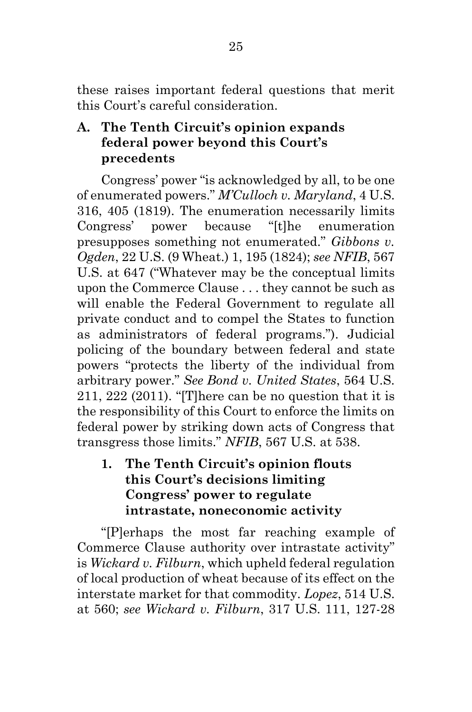these raises important federal questions that merit this Court's careful consideration.

## **A. The Tenth Circuit's opinion expands federal power beyond this Court's precedents**

Congress' power "is acknowledged by all, to be one of enumerated powers." *M'Culloch v. Maryland*, 4 U.S. 316, 405 (1819). The enumeration necessarily limits Congress' power because "[t]he enumeration presupposes something not enumerated." *Gibbons v. Ogden*, 22 U.S. (9 Wheat.) 1, 195 (1824); *see NFIB*, 567 U.S. at 647 ("Whatever may be the conceptual limits upon the Commerce Clause . . . they cannot be such as will enable the Federal Government to regulate all private conduct and to compel the States to function as administrators of federal programs."). Judicial policing of the boundary between federal and state powers "protects the liberty of the individual from arbitrary power." *See Bond v. United States*, 564 U.S. 211, 222 (2011). "[T] here can be no question that it is the responsibility of this Court to enforce the limits on federal power by striking down acts of Congress that transgress those limits." *NFIB*, 567 U.S. at 538.

**1. The Tenth Circuit's opinion flouts this Court's decisions limiting Congress' power to regulate intrastate, noneconomic activity**

"[P]erhaps the most far reaching example of Commerce Clause authority over intrastate activity" is *Wickard v. Filburn*, which upheld federal regulation of local production of wheat because of its effect on the interstate market for that commodity. *Lopez*, 514 U.S. at 560; *see Wickard v. Filburn*, 317 U.S. 111, 127-28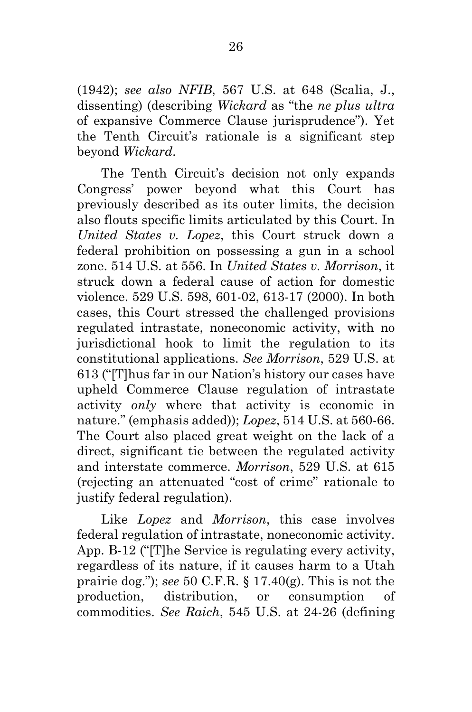(1942); *see also NFIB*, 567 U.S. at 648 (Scalia, J., dissenting) (describing *Wickard* as "the *ne plus ultra* of expansive Commerce Clause jurisprudence"). Yet the Tenth Circuit's rationale is a significant step beyond *Wickard*.

The Tenth Circuit's decision not only expands Congress' power beyond what this Court has previously described as its outer limits, the decision also flouts specific limits articulated by this Court. In *United States v. Lopez*, this Court struck down a federal prohibition on possessing a gun in a school zone. 514 U.S. at 556. In *United States v. Morrison*, it struck down a federal cause of action for domestic violence. 529 U.S. 598, 601-02, 613-17 (2000). In both cases, this Court stressed the challenged provisions regulated intrastate, noneconomic activity, with no jurisdictional hook to limit the regulation to its constitutional applications. *See Morrison*, 529 U.S. at 613 ("[T]hus far in our Nation's history our cases have upheld Commerce Clause regulation of intrastate activity *only* where that activity is economic in nature." (emphasis added)); *Lopez*, 514 U.S. at 560-66. The Court also placed great weight on the lack of a direct, significant tie between the regulated activity and interstate commerce. *Morrison*, 529 U.S. at 615 (rejecting an attenuated "cost of crime" rationale to justify federal regulation).

Like *Lopez* and *Morrison*, this case involves federal regulation of intrastate, noneconomic activity. App. B-12 ("[T]he Service is regulating every activity, regardless of its nature, if it causes harm to a Utah prairie dog."); *see* 50 C.F.R. § 17.40(g). This is not the production, distribution, or consumption of commodities. *See Raich*, 545 U.S. at 24-26 (defining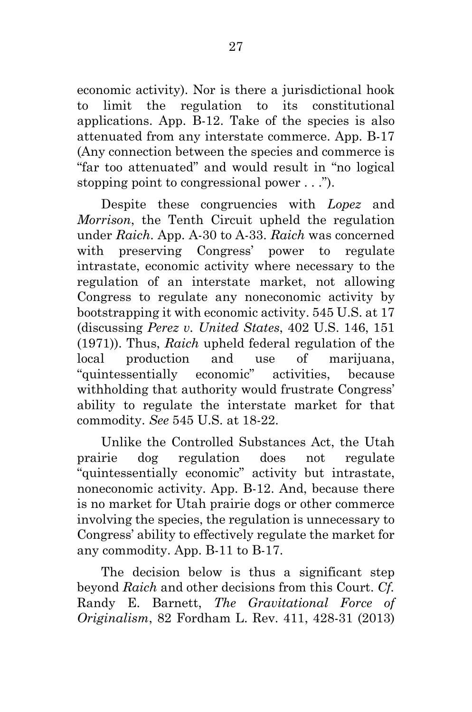economic activity). Nor is there a jurisdictional hook to limit the regulation to its constitutional applications. App. B-12. Take of the species is also attenuated from any interstate commerce. App. B-17 (Any connection between the species and commerce is "far too attenuated" and would result in "no logical stopping point to congressional power . . .").

Despite these congruencies with *Lopez* and *Morrison*, the Tenth Circuit upheld the regulation under *Raich*. App. A-30 to A-33. *Raich* was concerned with preserving Congress' power to regulate intrastate, economic activity where necessary to the regulation of an interstate market, not allowing Congress to regulate any noneconomic activity by bootstrapping it with economic activity. 545 U.S. at 17 (discussing *Perez v. United States*, 402 U.S. 146, 151 (1971)). Thus, *Raich* upheld federal regulation of the local production and use of marijuana, "quintessentially economic" activities, because withholding that authority would frustrate Congress' ability to regulate the interstate market for that commodity. *See* 545 U.S. at 18-22.

Unlike the Controlled Substances Act, the Utah prairie dog regulation does not regulate "quintessentially economic" activity but intrastate, noneconomic activity. App. B-12. And, because there is no market for Utah prairie dogs or other commerce involving the species, the regulation is unnecessary to Congress' ability to effectively regulate the market for any commodity. App. B-11 to B-17.

The decision below is thus a significant step beyond *Raich* and other decisions from this Court. *Cf.* Randy E. Barnett, *The Gravitational Force of Originalism*, 82 Fordham L. Rev. 411, 428-31 (2013)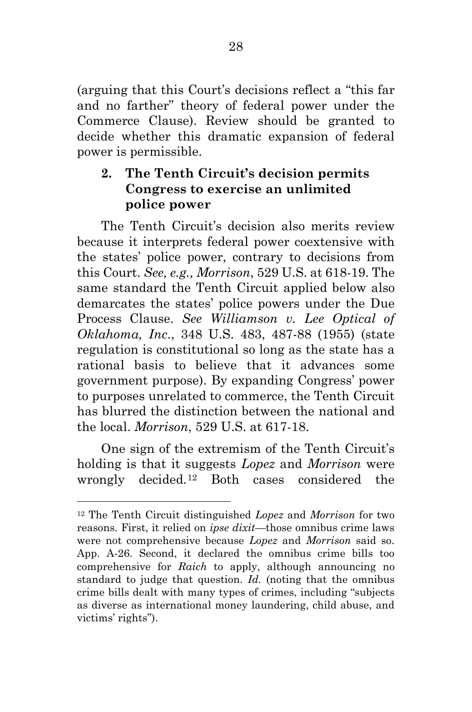(arguing that this Court's decisions reflect a "this far and no farther" theory of federal power under the Commerce Clause). Review should be granted to decide whether this dramatic expansion of federal power is permissible.

## **2. The Tenth Circuit's decision permits Congress to exercise an unlimited police power**

The Tenth Circuit's decision also merits review because it interprets federal power coextensive with the states' police power, contrary to decisions from this Court. *See, e.g., Morrison*, 529 U.S. at 618-19. The same standard the Tenth Circuit applied below also demarcates the states' police powers under the Due Process Clause. *See Williamson v. Lee Optical of Oklahoma, Inc*., 348 U.S. 483, 487-88 (1955) (state regulation is constitutional so long as the state has a rational basis to believe that it advances some government purpose). By expanding Congress' power to purposes unrelated to commerce, the Tenth Circuit has blurred the distinction between the national and the local. *Morrison*, 529 U.S. at 617-18.

One sign of the extremism of the Tenth Circuit's holding is that it suggests *Lopez* and *Morrison* were wrongly decided.[12](#page-39-0) Both cases considered the

<span id="page-39-0"></span><sup>12</sup> The Tenth Circuit distinguished *Lopez* and *Morrison* for two reasons. First, it relied on *ipse dixit*—those omnibus crime laws were not comprehensive because *Lopez* and *Morrison* said so. App. A-26. Second, it declared the omnibus crime bills too comprehensive for *Raich* to apply, although announcing no standard to judge that question. *Id.* (noting that the omnibus crime bills dealt with many types of crimes, including "subjects as diverse as international money laundering, child abuse, and victims' rights").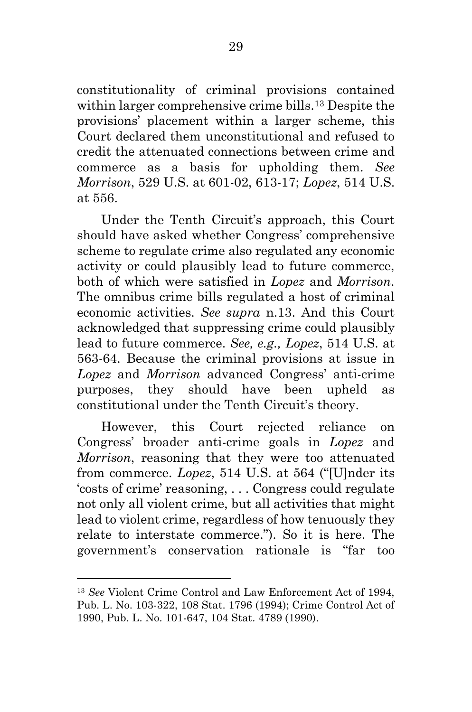constitutionality of criminal provisions contained within larger comprehensive crime bills.[13](#page-40-0) Despite the provisions' placement within a larger scheme, this Court declared them unconstitutional and refused to credit the attenuated connections between crime and commerce as a basis for upholding them. *See Morrison*, 529 U.S. at 601-02, 613-17; *Lopez*, 514 U.S. at 556.

Under the Tenth Circuit's approach, this Court should have asked whether Congress' comprehensive scheme to regulate crime also regulated any economic activity or could plausibly lead to future commerce, both of which were satisfied in *Lopez* and *Morrison*. The omnibus crime bills regulated a host of criminal economic activities. *See supra* n.13. And this Court acknowledged that suppressing crime could plausibly lead to future commerce. *See, e.g., Lopez*, 514 U.S. at 563-64. Because the criminal provisions at issue in *Lopez* and *Morrison* advanced Congress' anti-crime purposes, they should have been upheld as constitutional under the Tenth Circuit's theory.

However, this Court rejected reliance on Congress' broader anti-crime goals in *Lopez* and *Morrison*, reasoning that they were too attenuated from commerce. *Lopez*, 514 U.S. at 564 ("[U]nder its 'costs of crime' reasoning, . . . Congress could regulate not only all violent crime, but all activities that might lead to violent crime, regardless of how tenuously they relate to interstate commerce."). So it is here. The government's conservation rationale is "far too

<span id="page-40-0"></span><sup>13</sup> *See* Violent Crime Control and Law Enforcement Act of 1994, Pub. L. No. 103-322, 108 Stat. 1796 (1994); Crime Control Act of 1990, Pub. L. No. 101-647, 104 Stat. 4789 (1990).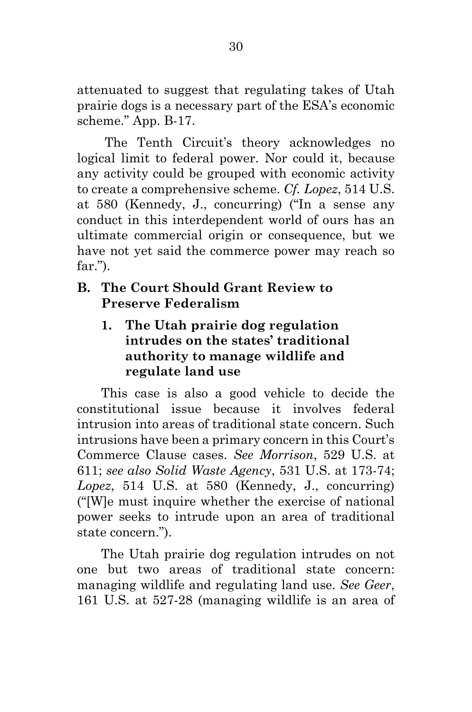attenuated to suggest that regulating takes of Utah prairie dogs is a necessary part of the ESA's economic scheme." App. B-17.

The Tenth Circuit's theory acknowledges no logical limit to federal power. Nor could it, because any activity could be grouped with economic activity to create a comprehensive scheme. *Cf. Lopez*, 514 U.S. at 580 (Kennedy, J., concurring) ("In a sense any conduct in this interdependent world of ours has an ultimate commercial origin or consequence, but we have not yet said the commerce power may reach so far.").

## **B. The Court Should Grant Review to Preserve Federalism**

**1. The Utah prairie dog regulation intrudes on the states' traditional authority to manage wildlife and regulate land use**

This case is also a good vehicle to decide the constitutional issue because it involves federal intrusion into areas of traditional state concern. Such intrusions have been a primary concern in this Court's Commerce Clause cases. *See Morrison*, 529 U.S. at 611; *see also Solid Waste Agency*, 531 U.S. at 173-74; *Lopez*, 514 U.S. at 580 (Kennedy, J., concurring) ("[W]e must inquire whether the exercise of national power seeks to intrude upon an area of traditional state concern.").

The Utah prairie dog regulation intrudes on not one but two areas of traditional state concern: managing wildlife and regulating land use. *See Geer*, 161 U.S. at 527-28 (managing wildlife is an area of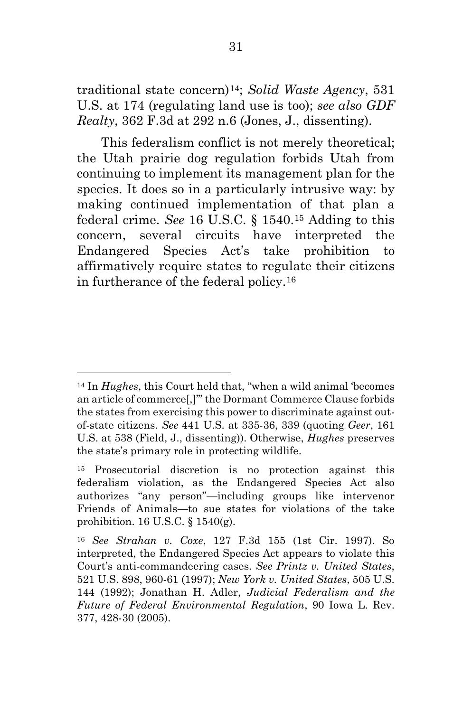traditional state concern)[14;](#page-42-0) *Solid Waste Agency*, 531 U.S. at 174 (regulating land use is too); *see also GDF Realty*, 362 F.3d at 292 n.6 (Jones, J., dissenting).

This federalism conflict is not merely theoretical; the Utah prairie dog regulation forbids Utah from continuing to implement its management plan for the species. It does so in a particularly intrusive way: by making continued implementation of that plan a federal crime. *See* 16 U.S.C. § 1540.[15](#page-42-1) Adding to this concern, several circuits have interpreted the Endangered Species Act's take prohibition to affirmatively require states to regulate their citizens in furtherance of the federal policy.[16](#page-42-2)

l

<span id="page-42-0"></span><sup>14</sup> In *Hughes*, this Court held that, "when a wild animal 'becomes an article of commerce[,]'" the Dormant Commerce Clause forbids the states from exercising this power to discriminate against outof-state citizens. *See* 441 U.S. at 335-36, 339 (quoting *Geer*, 161 U.S. at 538 (Field, J., dissenting)). Otherwise, *Hughes* preserves the state's primary role in protecting wildlife.

<span id="page-42-1"></span><sup>15</sup> Prosecutorial discretion is no protection against this federalism violation, as the Endangered Species Act also authorizes "any person"—including groups like intervenor Friends of Animals—to sue states for violations of the take prohibition. 16 U.S.C. § 1540(g).

<span id="page-42-2"></span><sup>16</sup> *See Strahan v. Coxe*, 127 F.3d 155 (1st Cir. 1997). So interpreted, the Endangered Species Act appears to violate this Court's anti-commandeering cases. *See Printz v. United States*, 521 U.S. 898, 960-61 (1997); *New York v. United States*, 505 U.S. 144 (1992); Jonathan H. Adler, *Judicial Federalism and the Future of Federal Environmental Regulation*, 90 Iowa L. Rev. 377, 428-30 (2005).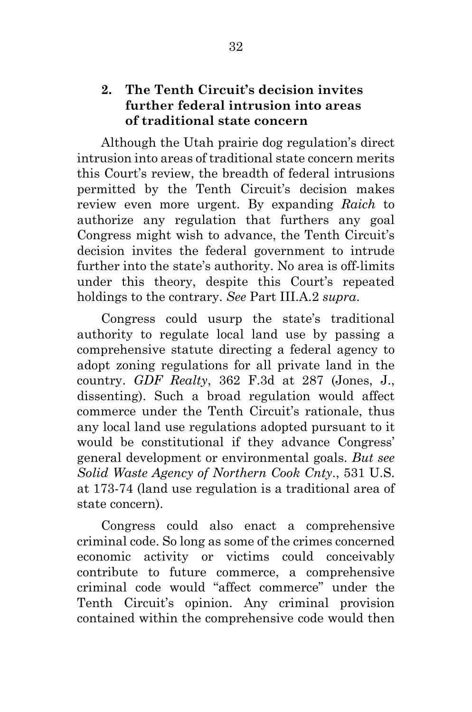## **2. The Tenth Circuit's decision invites further federal intrusion into areas of traditional state concern**

Although the Utah prairie dog regulation's direct intrusion into areas of traditional state concern merits this Court's review, the breadth of federal intrusions permitted by the Tenth Circuit's decision makes review even more urgent. By expanding *Raich* to authorize any regulation that furthers any goal Congress might wish to advance, the Tenth Circuit's decision invites the federal government to intrude further into the state's authority. No area is off-limits under this theory, despite this Court's repeated holdings to the contrary. *See* Part III.A.2 *supra*.

Congress could usurp the state's traditional authority to regulate local land use by passing a comprehensive statute directing a federal agency to adopt zoning regulations for all private land in the country. *GDF Realty*, 362 F.3d at 287 (Jones, J., dissenting). Such a broad regulation would affect commerce under the Tenth Circuit's rationale, thus any local land use regulations adopted pursuant to it would be constitutional if they advance Congress' general development or environmental goals. *But see Solid Waste Agency of Northern Cook Cnty*., 531 U.S. at 173-74 (land use regulation is a traditional area of state concern).

Congress could also enact a comprehensive criminal code. So long as some of the crimes concerned economic activity or victims could conceivably contribute to future commerce, a comprehensive criminal code would "affect commerce" under the Tenth Circuit's opinion. Any criminal provision contained within the comprehensive code would then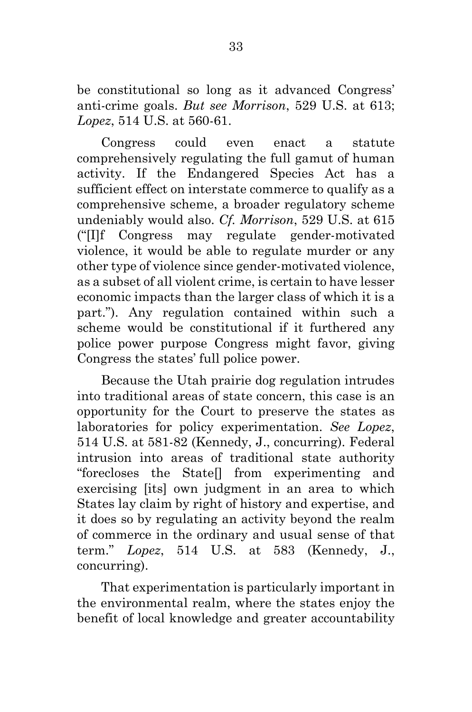be constitutional so long as it advanced Congress' anti-crime goals. *But see Morrison*, 529 U.S. at 613; *Lopez*, 514 U.S. at 560-61.

Congress could even enact a statute comprehensively regulating the full gamut of human activity. If the Endangered Species Act has a sufficient effect on interstate commerce to qualify as a comprehensive scheme, a broader regulatory scheme undeniably would also. *Cf. Morrison*, 529 U.S. at 615 ("[I]f Congress may regulate gender-motivated violence, it would be able to regulate murder or any other type of violence since gender-motivated violence, as a subset of all violent crime, is certain to have lesser economic impacts than the larger class of which it is a part."). Any regulation contained within such a scheme would be constitutional if it furthered any police power purpose Congress might favor, giving Congress the states' full police power.

Because the Utah prairie dog regulation intrudes into traditional areas of state concern, this case is an opportunity for the Court to preserve the states as laboratories for policy experimentation. *See Lopez*, 514 U.S. at 581-82 (Kennedy, J., concurring). Federal intrusion into areas of traditional state authority "forecloses the State[] from experimenting and exercising [its] own judgment in an area to which States lay claim by right of history and expertise, and it does so by regulating an activity beyond the realm of commerce in the ordinary and usual sense of that term." *Lopez*, 514 U.S. at 583 (Kennedy, J., concurring).

That experimentation is particularly important in the environmental realm, where the states enjoy the benefit of local knowledge and greater accountability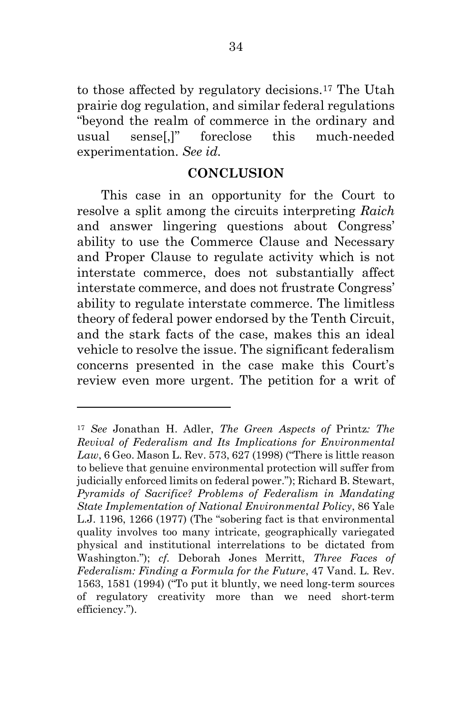to those affected by regulatory decisions.[17](#page-45-0) The Utah prairie dog regulation, and similar federal regulations "beyond the realm of commerce in the ordinary and usual sense[,]" foreclose this much-needed experimentation. *See id.*

#### **CONCLUSION**

This case in an opportunity for the Court to resolve a split among the circuits interpreting *Raich* and answer lingering questions about Congress' ability to use the Commerce Clause and Necessary and Proper Clause to regulate activity which is not interstate commerce, does not substantially affect interstate commerce, and does not frustrate Congress' ability to regulate interstate commerce. The limitless theory of federal power endorsed by the Tenth Circuit, and the stark facts of the case, makes this an ideal vehicle to resolve the issue. The significant federalism concerns presented in the case make this Court's review even more urgent. The petition for a writ of

<span id="page-45-0"></span><sup>17</sup> *See* Jonathan H. Adler, *The Green Aspects of* Printz*: The Revival of Federalism and Its Implications for Environmental Law*, 6 Geo. Mason L. Rev. 573, 627 (1998) ("There is little reason to believe that genuine environmental protection will suffer from judicially enforced limits on federal power."); Richard B. Stewart, *Pyramids of Sacrifice? Problems of Federalism in Mandating State Implementation of National Environmental Policy*, 86 Yale L.J. 1196, 1266 (1977) (The "sobering fact is that environmental quality involves too many intricate, geographically variegated physical and institutional interrelations to be dictated from Washington."); *cf.* Deborah Jones Merritt, *Three Faces of Federalism: Finding a Formula for the Future*, 47 Vand. L. Rev. 1563, 1581 (1994) ("To put it bluntly, we need long-term sources of regulatory creativity more than we need short-term efficiency.").